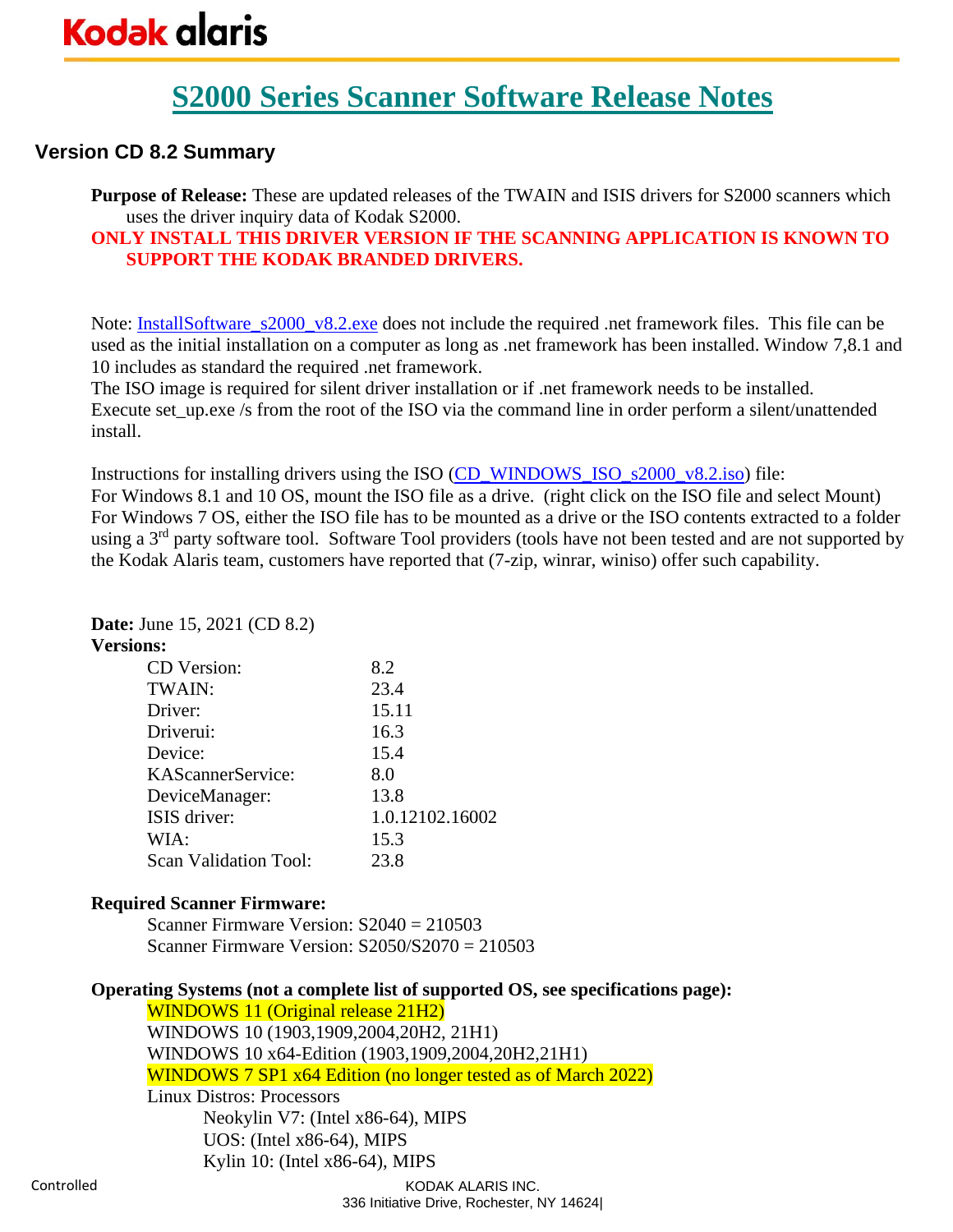## **Version CD 8.2 Summary**

**Purpose of Release:** These are updated releases of the TWAIN and ISIS drivers for S2000 scanners which uses the driver inquiry data of Kodak S2000.

### **ONLY INSTALL THIS DRIVER VERSION IF THE SCANNING APPLICATION IS KNOWN TO SUPPORT THE KODAK BRANDED DRIVERS.**

Note: **InstallSoftware\_s2000\_v8.2.exe** does not include the required .net framework files. This file can be used as the initial installation on a computer as long as .net framework has been installed. Window 7,8.1 and 10 includes as standard the required .net framework.

The ISO image is required for silent driver installation or if .net framework needs to be installed. Execute set\_up.exe /s from the root of the ISO via the command line in order perform a silent/unattended install.

Instructions for installing drivers using the ISO [\(CD\\_WINDOWS\\_ISO\\_s2000\\_v8.2.iso\)](https://www.alarisworld.com/go/s2000support) file: For Windows 8.1 and 10 OS, mount the ISO file as a drive. (right click on the ISO file and select Mount) For Windows 7 OS, either the ISO file has to be mounted as a drive or the ISO contents extracted to a folder using a 3<sup>rd</sup> party software tool. Software Tool providers (tools have not been tested and are not supported by the Kodak Alaris team, customers have reported that (7-zip, winrar, winiso) offer such capability.

### **Date:** June 15, 2021 (CD 8.2)

#### **Versions:**

| CD Version:                  | 8.2             |
|------------------------------|-----------------|
| TWAIN:                       | 23.4            |
| Driver:                      | 15.11           |
| Driverui:                    | 16.3            |
| Device:                      | 15.4            |
| KAScannerService:            | 8.0             |
| DeviceManager:               | 13.8            |
| ISIS driver:                 | 1.0.12102.16002 |
| WIA:                         | 15.3            |
| <b>Scan Validation Tool:</b> | 23.8            |

#### **Required Scanner Firmware:**

Scanner Firmware Version: S2040 = 210503 Scanner Firmware Version: S2050/S2070 = 210503

#### **Operating Systems (not a complete list of supported OS, see specifications page):**

WINDOWS 11 (Original release 21H2) WINDOWS 10 (1903,1909,2004,20H2, 21H1) WINDOWS 10 x64-Edition (1903,1909,2004,20H2,21H1) WINDOWS 7 SP1 x64 Edition (no longer tested as of March 2022) Linux Distros: Processors Neokylin V7: (Intel x86-64), MIPS UOS: (Intel x86-64), MIPS Kylin 10: (Intel x86-64), MIPS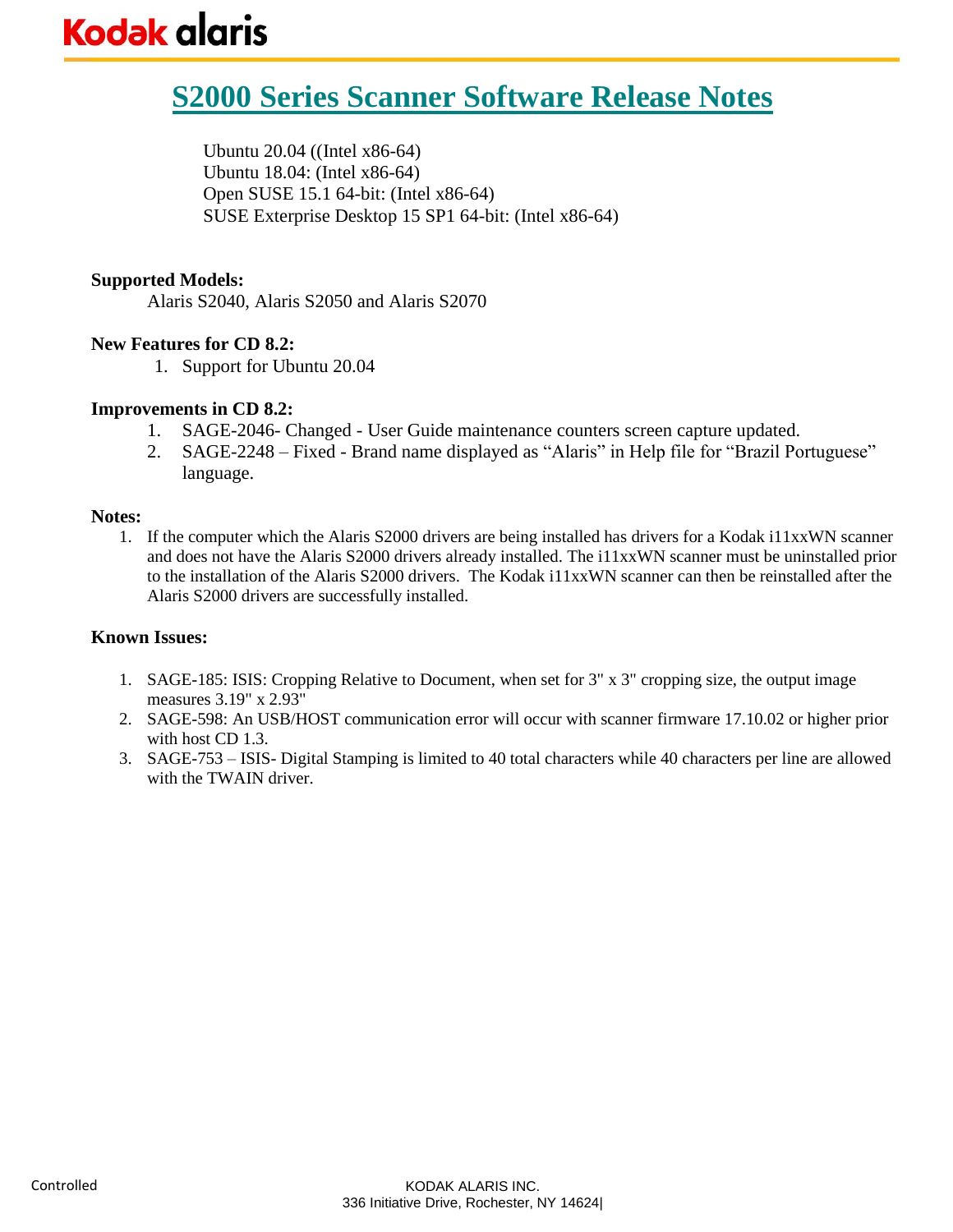# **S2000 Series Scanner Software Release Notes**

Ubuntu 20.04 ((Intel x86-64) Ubuntu 18.04: (Intel x86-64) Open SUSE 15.1 64-bit: (Intel x86-64) SUSE Exterprise Desktop 15 SP1 64-bit: (Intel x86-64)

#### **Supported Models:**

Alaris S2040, Alaris S2050 and Alaris S2070

#### **New Features for CD 8.2:**

1. Support for Ubuntu 20.04

#### **Improvements in CD 8.2:**

- 1. SAGE-2046- Changed User Guide maintenance counters screen capture updated.
- 2. SAGE-2248 Fixed Brand name displayed as "Alaris" in Help file for "Brazil Portuguese" language.

#### **Notes:**

1. If the computer which the Alaris S2000 drivers are being installed has drivers for a Kodak i11xxWN scanner and does not have the Alaris S2000 drivers already installed. The i11xxWN scanner must be uninstalled prior to the installation of the Alaris S2000 drivers. The Kodak i11xxWN scanner can then be reinstalled after the Alaris S2000 drivers are successfully installed.

- 1. SAGE-185: ISIS: Cropping Relative to Document, when set for 3" x 3" cropping size, the output image measures 3.19" x 2.93"
- 2. SAGE-598: An USB/HOST communication error will occur with scanner firmware 17.10.02 or higher prior with host CD 1.3.
- 3. SAGE-753 ISIS- Digital Stamping is limited to 40 total characters while 40 characters per line are allowed with the TWAIN driver.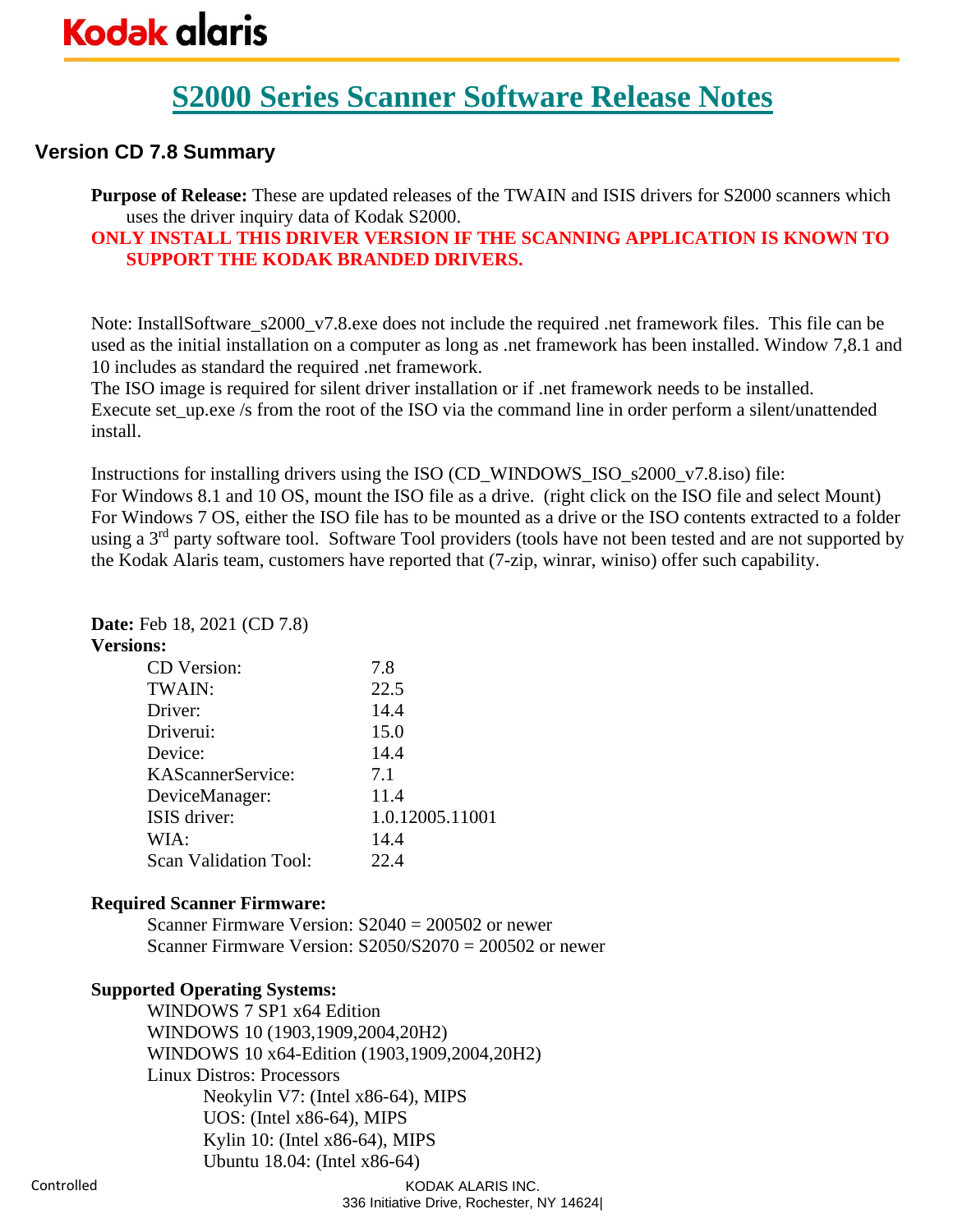## **Version CD 7.8 Summary**

**Purpose of Release:** These are updated releases of the TWAIN and ISIS drivers for S2000 scanners which uses the driver inquiry data of Kodak S2000.

### **ONLY INSTALL THIS DRIVER VERSION IF THE SCANNING APPLICATION IS KNOWN TO SUPPORT THE KODAK BRANDED DRIVERS.**

Note: InstallSoftware\_s2000\_v7.8.exe does not include the required .net framework files. This file can be used as the initial installation on a computer as long as .net framework has been installed. Window 7,8.1 and 10 includes as standard the required .net framework.

The ISO image is required for silent driver installation or if .net framework needs to be installed. Execute set\_up.exe /s from the root of the ISO via the command line in order perform a silent/unattended install.

Instructions for installing drivers using the ISO (CD\_WINDOWS\_ISO\_s2000\_v7.8.iso) file: For Windows 8.1 and 10 OS, mount the ISO file as a drive. (right click on the ISO file and select Mount) For Windows 7 OS, either the ISO file has to be mounted as a drive or the ISO contents extracted to a folder using a 3<sup>rd</sup> party software tool. Software Tool providers (tools have not been tested and are not supported by the Kodak Alaris team, customers have reported that (7-zip, winrar, winiso) offer such capability.

### **Date:** Feb 18, 2021 (CD 7.8)

#### **Versions:**

| CD Version:                  | 7.8             |
|------------------------------|-----------------|
| TWAIN:                       | 22.5            |
| Driver:                      | 14.4            |
| Driverui:                    | 15.0            |
| Device:                      | 14.4            |
| KAScannerService:            | 7.1             |
| DeviceManager:               | 11.4            |
| ISIS driver:                 | 1.0.12005.11001 |
| WIA:                         | 14.4            |
| <b>Scan Validation Tool:</b> | 22.4            |

#### **Required Scanner Firmware:**

Scanner Firmware Version: S2040 = 200502 or newer Scanner Firmware Version:  $S2050/S2070 = 200502$  or newer

### **Supported Operating Systems:**

WINDOWS 7 SP1 x64 Edition WINDOWS 10 (1903,1909,2004,20H2) WINDOWS 10 x64-Edition (1903,1909,2004,20H2) Linux Distros: Processors Neokylin V7: (Intel x86-64), MIPS UOS: (Intel x86-64), MIPS Kylin 10: (Intel x86-64), MIPS Ubuntu 18.04: (Intel x86-64)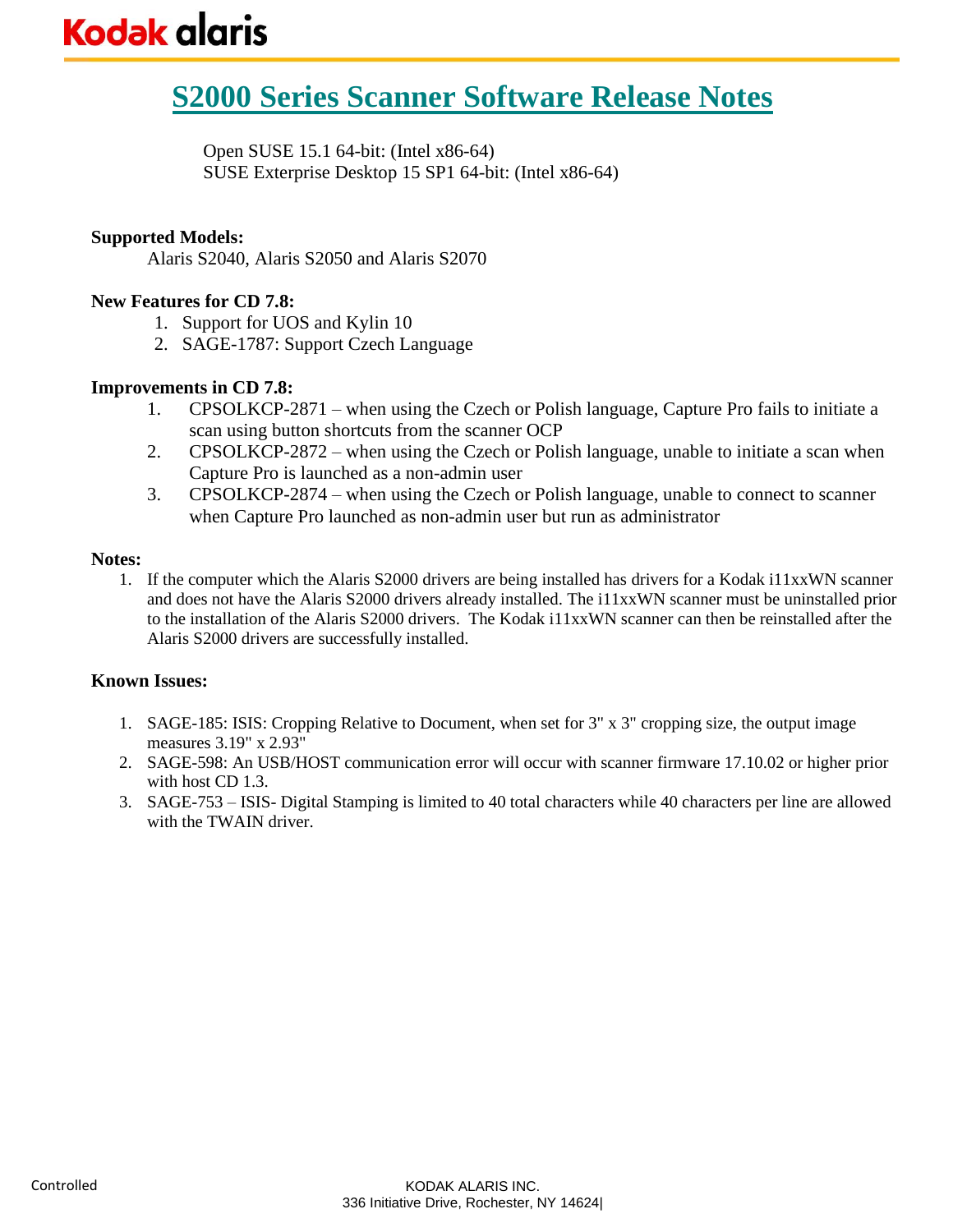Open SUSE 15.1 64-bit: (Intel x86-64) SUSE Exterprise Desktop 15 SP1 64-bit: (Intel x86-64)

#### **Supported Models:**

Alaris S2040, Alaris S2050 and Alaris S2070

#### **New Features for CD 7.8:**

- 1. Support for UOS and Kylin 10
- 2. SAGE-1787: Support Czech Language

#### **Improvements in CD 7.8:**

- 1. CPSOLKCP-2871 when using the Czech or Polish language, Capture Pro fails to initiate a scan using button shortcuts from the scanner OCP
- 2. CPSOLKCP-2872 when using the Czech or Polish language, unable to initiate a scan when Capture Pro is launched as a non-admin user
- 3. CPSOLKCP-2874 when using the Czech or Polish language, unable to connect to scanner when Capture Pro launched as non-admin user but run as administrator

#### **Notes:**

1. If the computer which the Alaris S2000 drivers are being installed has drivers for a Kodak i11xxWN scanner and does not have the Alaris S2000 drivers already installed. The i11xxWN scanner must be uninstalled prior to the installation of the Alaris S2000 drivers. The Kodak i11xxWN scanner can then be reinstalled after the Alaris S2000 drivers are successfully installed.

- 1. SAGE-185: ISIS: Cropping Relative to Document, when set for 3" x 3" cropping size, the output image measures 3.19" x 2.93"
- 2. SAGE-598: An USB/HOST communication error will occur with scanner firmware 17.10.02 or higher prior with host CD 1.3.
- 3. SAGE-753 ISIS- Digital Stamping is limited to 40 total characters while 40 characters per line are allowed with the TWAIN driver.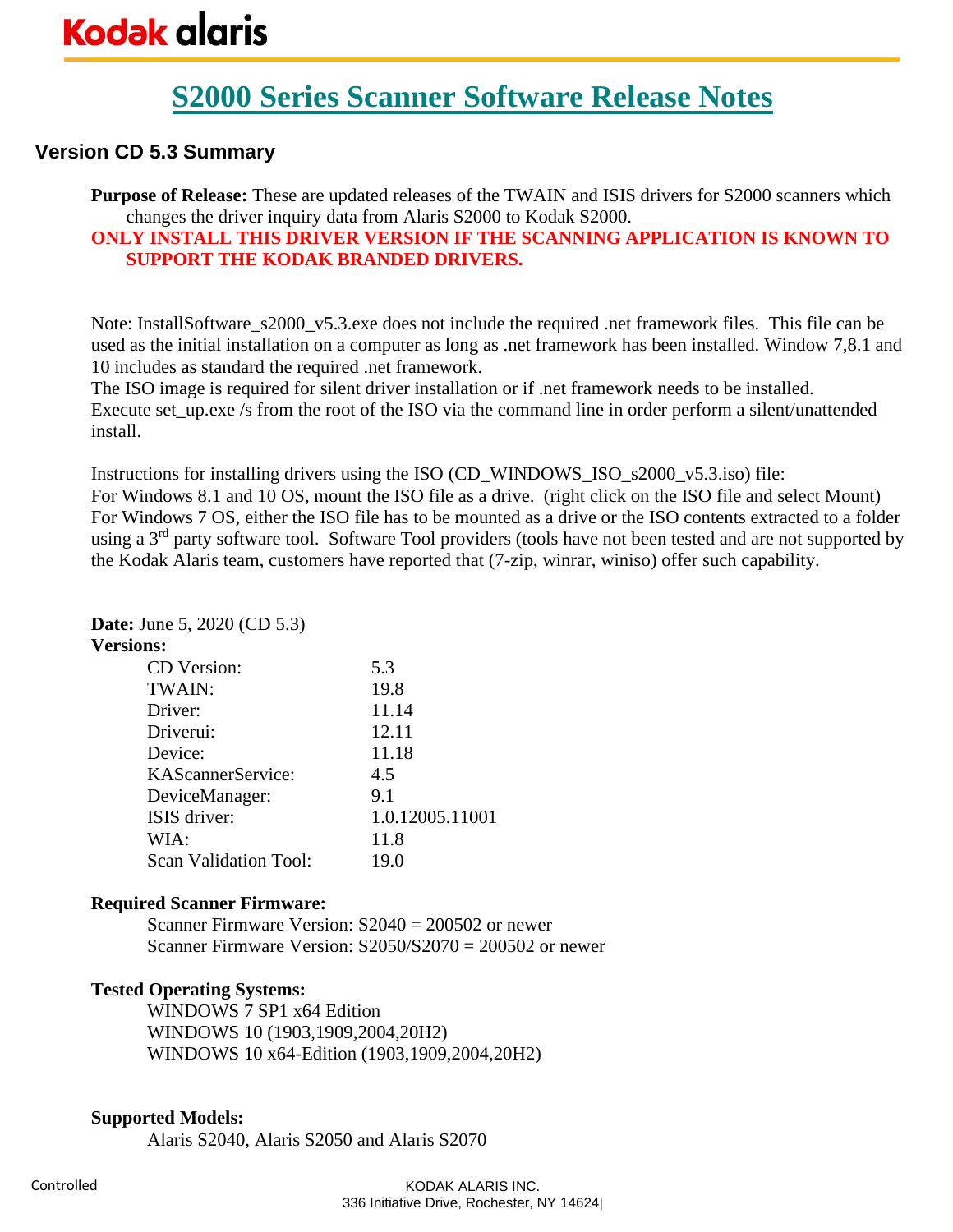## **Version CD 5.3 Summary**

**Purpose of Release:** These are updated releases of the TWAIN and ISIS drivers for S2000 scanners which changes the driver inquiry data from Alaris S2000 to Kodak S2000.

### **ONLY INSTALL THIS DRIVER VERSION IF THE SCANNING APPLICATION IS KNOWN TO SUPPORT THE KODAK BRANDED DRIVERS.**

Note: InstallSoftware\_s2000\_v5.3.exe does not include the required .net framework files. This file can be used as the initial installation on a computer as long as .net framework has been installed. Window 7,8.1 and 10 includes as standard the required .net framework.

The ISO image is required for silent driver installation or if .net framework needs to be installed. Execute set\_up.exe /s from the root of the ISO via the command line in order perform a silent/unattended install.

Instructions for installing drivers using the ISO (CD\_WINDOWS\_ISO\_s2000\_v5.3.iso) file: For Windows 8.1 and 10 OS, mount the ISO file as a drive. (right click on the ISO file and select Mount) For Windows 7 OS, either the ISO file has to be mounted as a drive or the ISO contents extracted to a folder using a 3<sup>rd</sup> party software tool. Software Tool providers (tools have not been tested and are not supported by the Kodak Alaris team, customers have reported that (7-zip, winrar, winiso) offer such capability.

### **Date:** June 5, 2020 (CD 5.3)

#### **Versions:**

| CD Version:                  | 5.3             |
|------------------------------|-----------------|
| TWAIN:                       | 19.8            |
| Driver:                      | 11.14           |
| Driverui:                    | 12.11           |
| Device:                      | 11.18           |
| KAScannerService:            | 4.5             |
| DeviceManager:               | 9.1             |
| ISIS driver:                 | 1.0.12005.11001 |
| WIA:                         | 11.8            |
| <b>Scan Validation Tool:</b> | 19.0            |

#### **Required Scanner Firmware:**

Scanner Firmware Version: S2040 = 200502 or newer Scanner Firmware Version:  $S2050/S2070 = 200502$  or newer

#### **Tested Operating Systems:**

WINDOWS 7 SP1 x64 Edition WINDOWS 10 (1903,1909,2004,20H2) WINDOWS 10 x64-Edition (1903,1909,2004,20H2)

#### **Supported Models:**

Alaris S2040, Alaris S2050 and Alaris S2070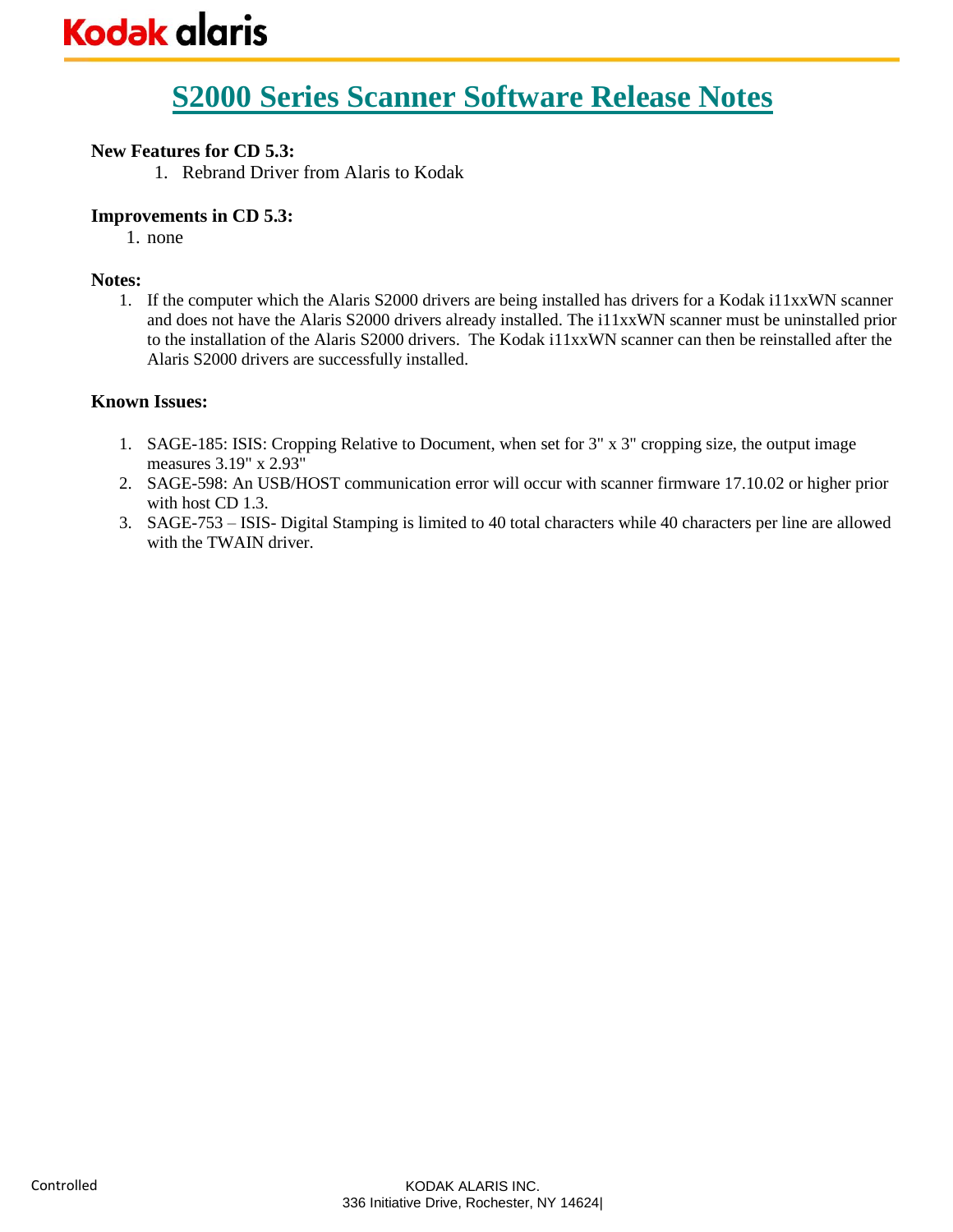### **New Features for CD 5.3:**

1. Rebrand Driver from Alaris to Kodak

#### **Improvements in CD 5.3:**

1. none

#### **Notes:**

1. If the computer which the Alaris S2000 drivers are being installed has drivers for a Kodak i11xxWN scanner and does not have the Alaris S2000 drivers already installed. The i11xxWN scanner must be uninstalled prior to the installation of the Alaris S2000 drivers. The Kodak i11xxWN scanner can then be reinstalled after the Alaris S2000 drivers are successfully installed.

- 1. SAGE-185: ISIS: Cropping Relative to Document, when set for 3" x 3" cropping size, the output image measures 3.19" x 2.93"
- 2. SAGE-598: An USB/HOST communication error will occur with scanner firmware 17.10.02 or higher prior with host CD 1.3.
- 3. SAGE-753 ISIS- Digital Stamping is limited to 40 total characters while 40 characters per line are allowed with the TWAIN driver.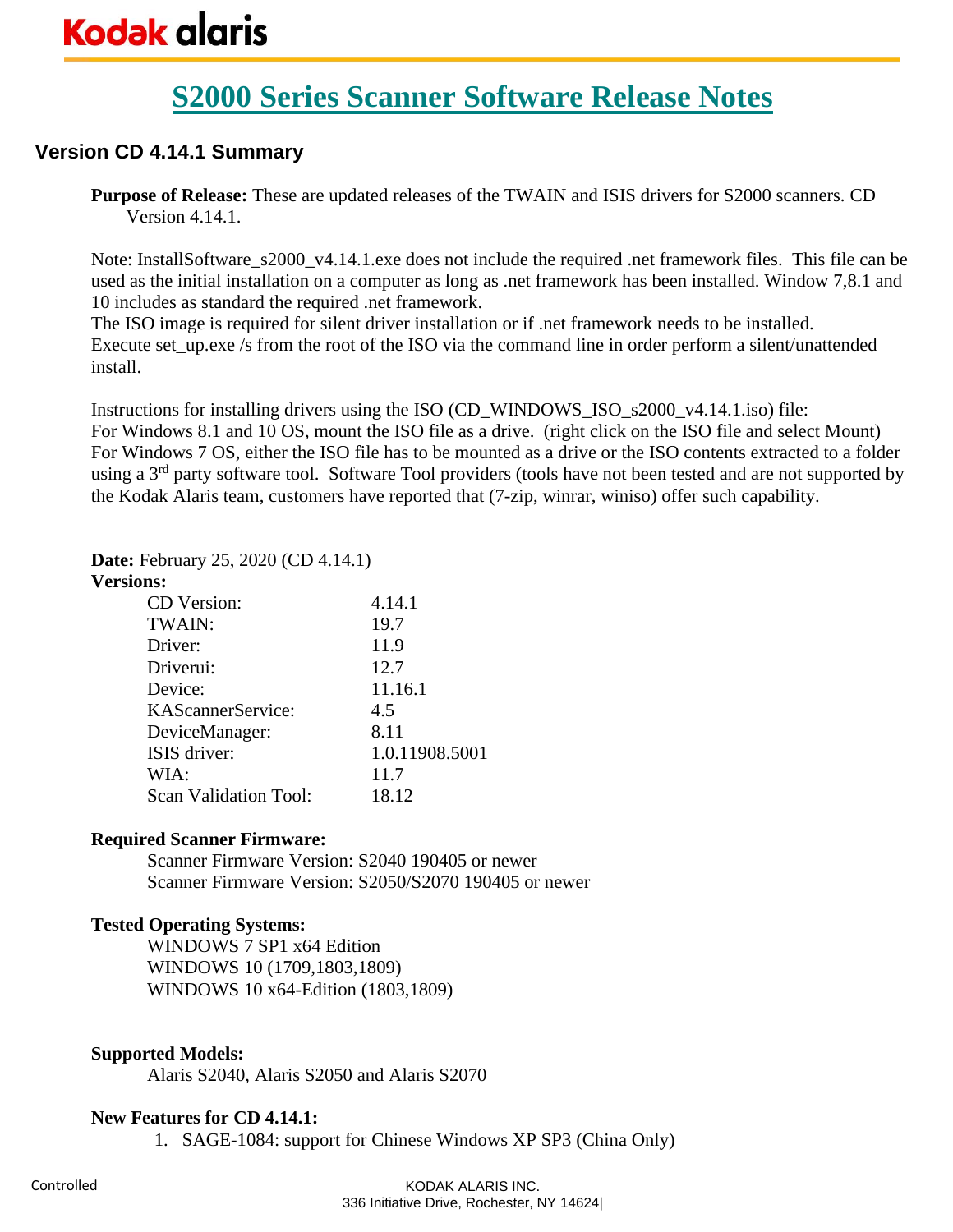# **S2000 Series Scanner Software Release Notes**

## **Version CD 4.14.1 Summary**

**Purpose of Release:** These are updated releases of the TWAIN and ISIS drivers for S2000 scanners. CD Version 4.14.1.

Note: InstallSoftware\_s2000\_v4.14.1.exe does not include the required .net framework files. This file can be used as the initial installation on a computer as long as .net framework has been installed. Window 7,8.1 and 10 includes as standard the required .net framework.

The ISO image is required for silent driver installation or if .net framework needs to be installed. Execute set up.exe /s from the root of the ISO via the command line in order perform a silent/unattended install.

Instructions for installing drivers using the ISO (CD\_WINDOWS\_ISO\_s2000\_v4.14.1.iso) file: For Windows 8.1 and 10 OS, mount the ISO file as a drive. (right click on the ISO file and select Mount) For Windows 7 OS, either the ISO file has to be mounted as a drive or the ISO contents extracted to a folder using a 3<sup>rd</sup> party software tool. Software Tool providers (tools have not been tested and are not supported by the Kodak Alaris team, customers have reported that (7-zip, winrar, winiso) offer such capability.

#### **Date:** February 25, 2020 (CD 4.14.1)

#### **Versions:**

| CD Version:           | 4.14.1         |
|-----------------------|----------------|
| TWAIN:                | 19.7           |
| Driver:               | 11.9           |
| Driverui:             | 12.7           |
| Device:               | 11.16.1        |
| KAScannerService:     | 4.5            |
| DeviceManager:        | 8.11           |
| ISIS driver:          | 1.0.11908.5001 |
| WIA:                  | 11.7           |
| Scan Validation Tool: | 18.12          |

#### **Required Scanner Firmware:**

Scanner Firmware Version: S2040 190405 or newer Scanner Firmware Version: S2050/S2070 190405 or newer

### **Tested Operating Systems:**

WINDOWS 7 SP1 x64 Edition WINDOWS 10 (1709,1803,1809) WINDOWS 10 x64-Edition (1803,1809)

### **Supported Models:**

Alaris S2040, Alaris S2050 and Alaris S2070

#### **New Features for CD 4.14.1:**

1. SAGE-1084: support for Chinese Windows XP SP3 (China Only)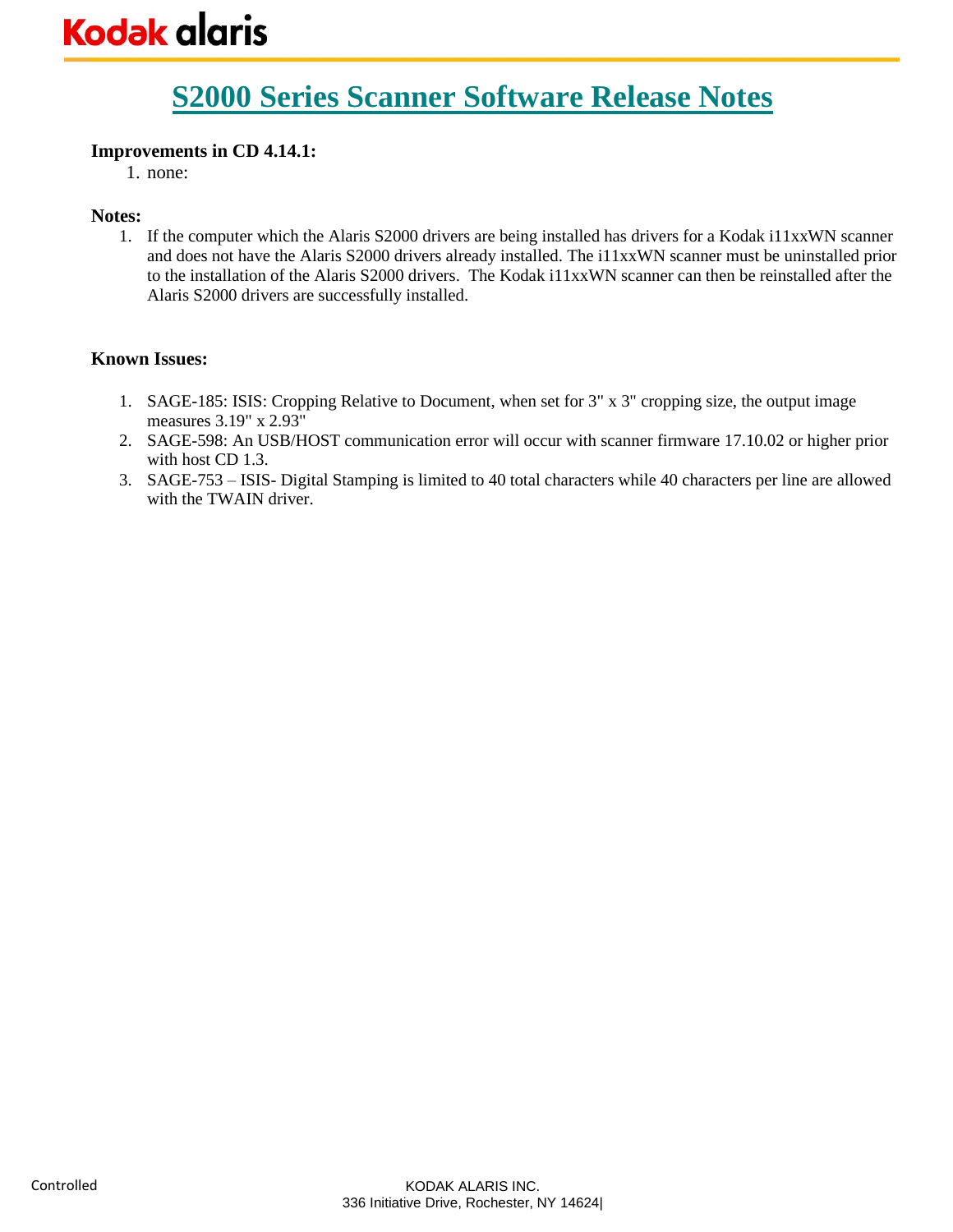### **Improvements in CD 4.14.1:**

1. none:

#### **Notes:**

1. If the computer which the Alaris S2000 drivers are being installed has drivers for a Kodak i11xxWN scanner and does not have the Alaris S2000 drivers already installed. The i11xxWN scanner must be uninstalled prior to the installation of the Alaris S2000 drivers. The Kodak i11xxWN scanner can then be reinstalled after the Alaris S2000 drivers are successfully installed.

- 1. SAGE-185: ISIS: Cropping Relative to Document, when set for 3" x 3" cropping size, the output image measures 3.19" x 2.93"
- 2. SAGE-598: An USB/HOST communication error will occur with scanner firmware 17.10.02 or higher prior with host CD 1.3.
- 3. SAGE-753 ISIS- Digital Stamping is limited to 40 total characters while 40 characters per line are allowed with the TWAIN driver.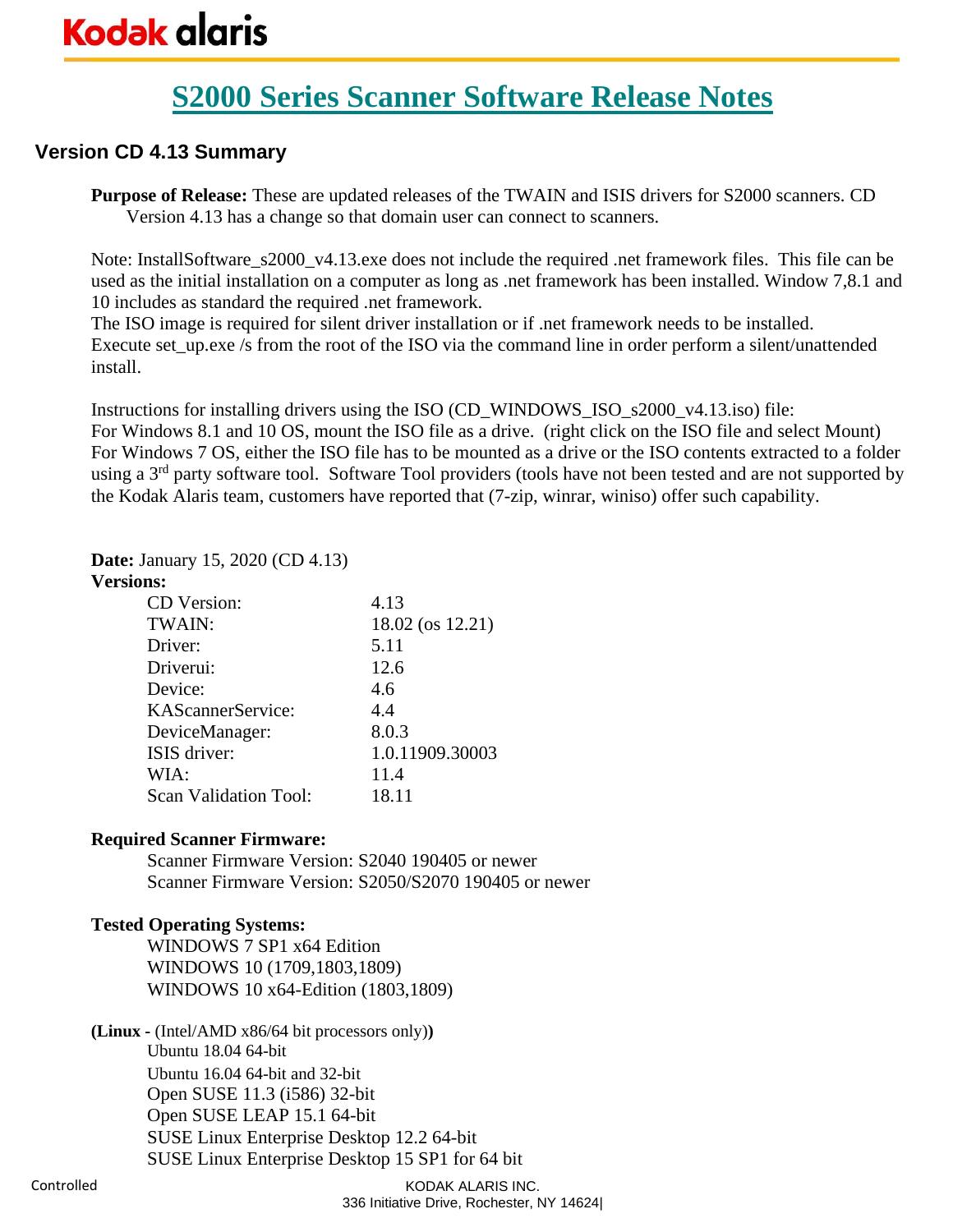# **S2000 Series Scanner Software Release Notes**

## **Version CD 4.13 Summary**

**Purpose of Release:** These are updated releases of the TWAIN and ISIS drivers for S2000 scanners. CD Version 4.13 has a change so that domain user can connect to scanners.

Note: InstallSoftware\_s2000\_v4.13.exe does not include the required .net framework files. This file can be used as the initial installation on a computer as long as .net framework has been installed. Window 7,8.1 and 10 includes as standard the required .net framework.

The ISO image is required for silent driver installation or if .net framework needs to be installed. Execute set up.exe /s from the root of the ISO via the command line in order perform a silent/unattended install.

Instructions for installing drivers using the ISO (CD\_WINDOWS\_ISO\_s2000\_v4.13.iso) file: For Windows 8.1 and 10 OS, mount the ISO file as a drive. (right click on the ISO file and select Mount) For Windows 7 OS, either the ISO file has to be mounted as a drive or the ISO contents extracted to a folder using a 3<sup>rd</sup> party software tool. Software Tool providers (tools have not been tested and are not supported by the Kodak Alaris team, customers have reported that (7-zip, winrar, winiso) offer such capability.

#### **Date:** January 15, 2020 (CD 4.13)

#### **Versions:**

| CD Version:                  | 4.13             |
|------------------------------|------------------|
| TWAIN:                       | 18.02 (os 12.21) |
| Driver:                      | 5.11             |
| Driverui:                    | 12.6             |
| Device:                      | 4.6              |
| KAScannerService:            | 4.4              |
| DeviceManager:               | 8.0.3            |
| ISIS driver:                 | 1.0.11909.30003  |
| WIA:                         | 11.4             |
| <b>Scan Validation Tool:</b> | 18.11            |

#### **Required Scanner Firmware:**

Scanner Firmware Version: S2040 190405 or newer Scanner Firmware Version: S2050/S2070 190405 or newer

### **Tested Operating Systems:**

WINDOWS 7 SP1 x64 Edition WINDOWS 10 (1709,1803,1809) WINDOWS 10 x64-Edition (1803,1809)

**(Linux -** (Intel/AMD x86/64 bit processors only)**)** Ubuntu 18.04 64-bit Ubuntu 16.04 64-bit and 32-bit Open SUSE 11.3 (i586) 32-bit Open SUSE LEAP 15.1 64-bit SUSE Linux Enterprise Desktop 12.2 64-bit SUSE Linux Enterprise Desktop 15 SP1 for 64 bit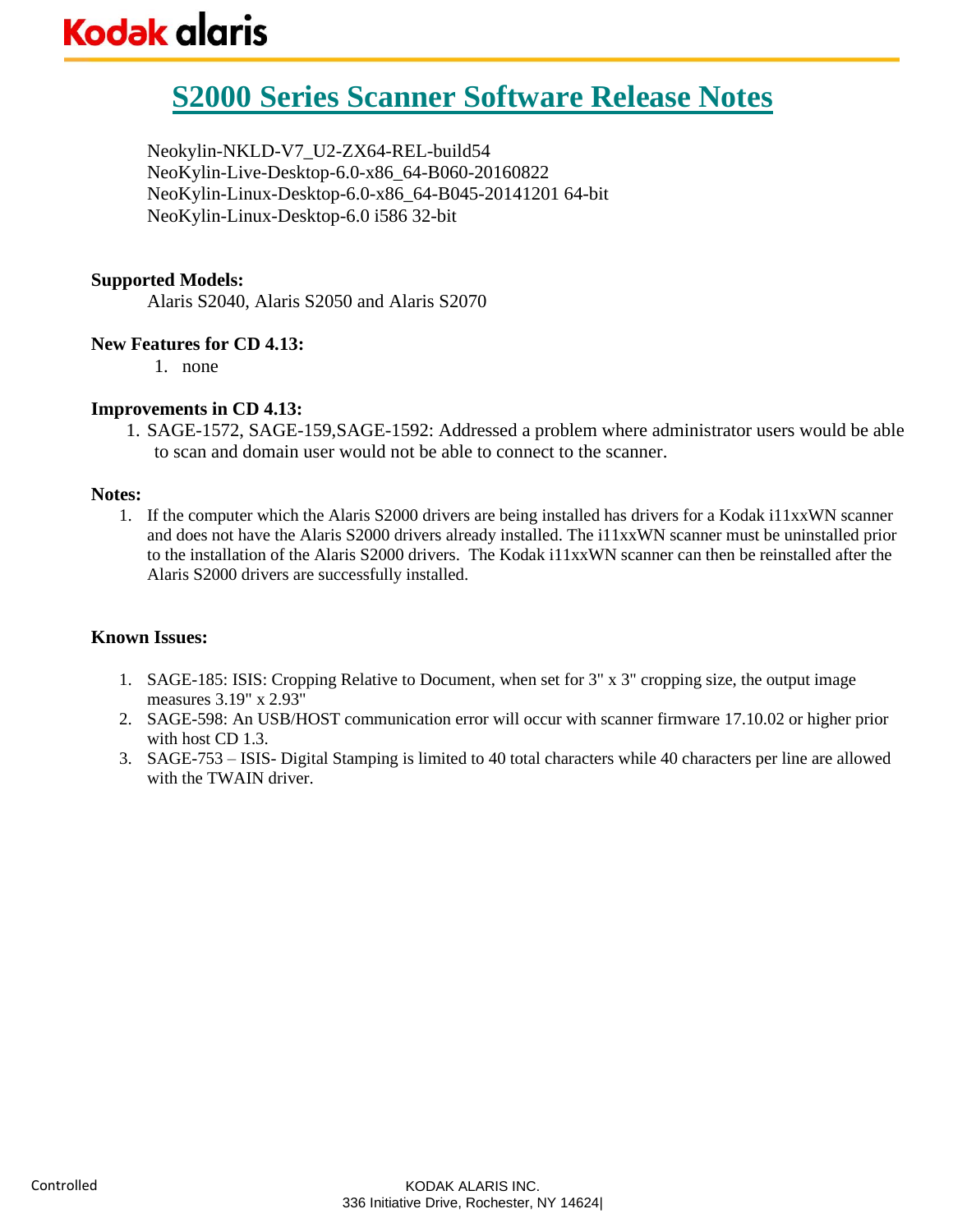# **S2000 Series Scanner Software Release Notes**

Neokylin-NKLD-V7\_U2-ZX64-REL-build54 NeoKylin-Live-Desktop-6.0-x86\_64-B060-20160822 NeoKylin-Linux-Desktop-6.0-x86\_64-B045-20141201 64-bit NeoKylin-Linux-Desktop-6.0 i586 32-bit

#### **Supported Models:**

Alaris S2040, Alaris S2050 and Alaris S2070

#### **New Features for CD 4.13:**

1. none

#### **Improvements in CD 4.13:**

1. SAGE-1572, SAGE-159,SAGE-1592: Addressed a problem where administrator users would be able to scan and domain user would not be able to connect to the scanner.

#### **Notes:**

1. If the computer which the Alaris S2000 drivers are being installed has drivers for a Kodak i11xxWN scanner and does not have the Alaris S2000 drivers already installed. The i11xxWN scanner must be uninstalled prior to the installation of the Alaris S2000 drivers. The Kodak i11xxWN scanner can then be reinstalled after the Alaris S2000 drivers are successfully installed.

- 1. SAGE-185: ISIS: Cropping Relative to Document, when set for 3" x 3" cropping size, the output image measures 3.19" x 2.93"
- 2. SAGE-598: An USB/HOST communication error will occur with scanner firmware 17.10.02 or higher prior with host CD 1.3.
- 3. SAGE-753 ISIS- Digital Stamping is limited to 40 total characters while 40 characters per line are allowed with the TWAIN driver.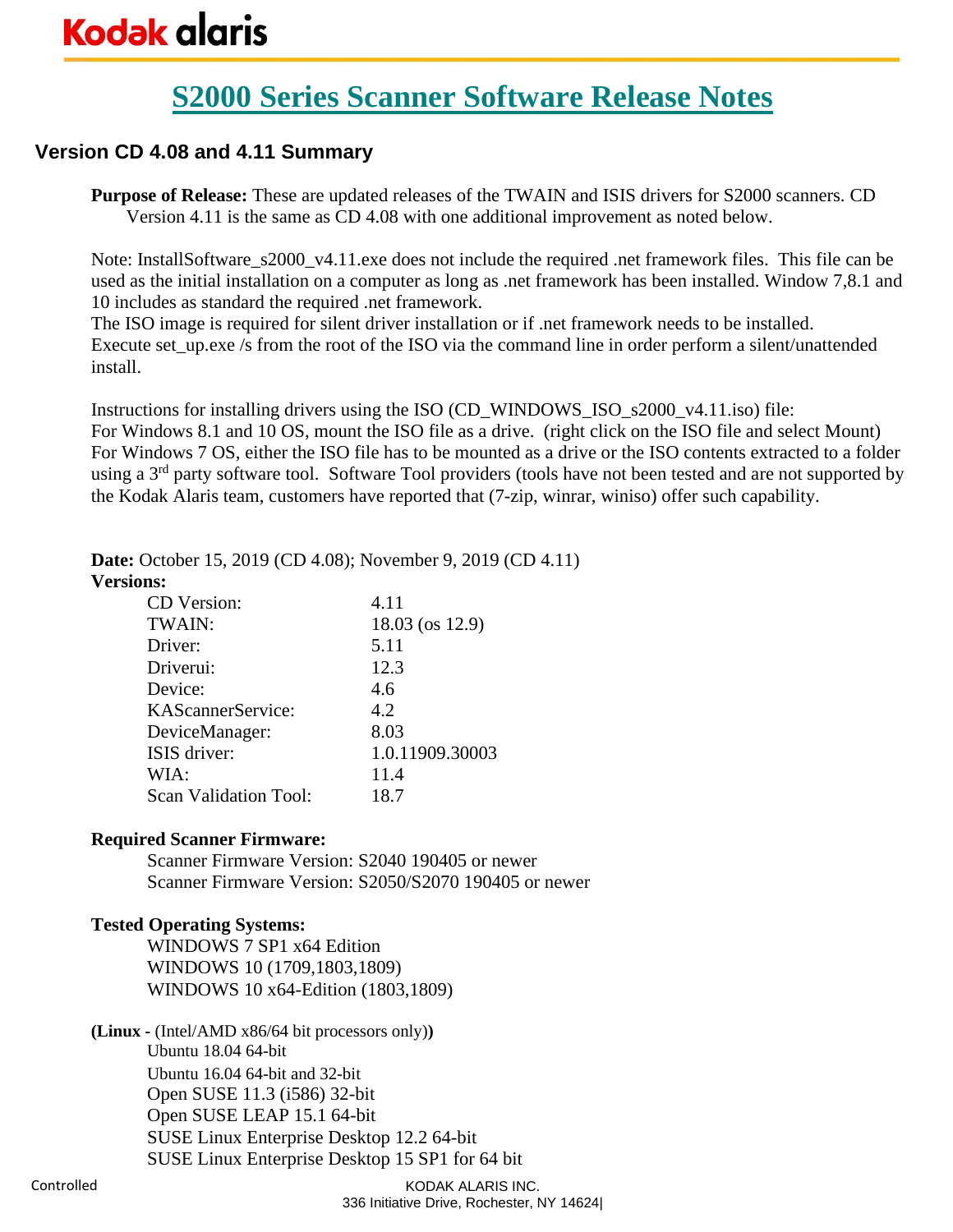# **S2000 Series Scanner Software Release Notes**

## **Version CD 4.08 and 4.11 Summary**

**Purpose of Release:** These are updated releases of the TWAIN and ISIS drivers for S2000 scanners. CD Version 4.11 is the same as CD 4.08 with one additional improvement as noted below.

Note: InstallSoftware\_s2000\_v4.11.exe does not include the required .net framework files. This file can be used as the initial installation on a computer as long as .net framework has been installed. Window 7,8.1 and 10 includes as standard the required .net framework.

The ISO image is required for silent driver installation or if .net framework needs to be installed. Execute set up.exe /s from the root of the ISO via the command line in order perform a silent/unattended install.

Instructions for installing drivers using the ISO (CD\_WINDOWS\_ISO\_s2000\_v4.11.iso) file: For Windows 8.1 and 10 OS, mount the ISO file as a drive. (right click on the ISO file and select Mount) For Windows 7 OS, either the ISO file has to be mounted as a drive or the ISO contents extracted to a folder using a 3<sup>rd</sup> party software tool. Software Tool providers (tools have not been tested and are not supported by the Kodak Alaris team, customers have reported that (7-zip, winrar, winiso) offer such capability.

**Date:** October 15, 2019 (CD 4.08); November 9, 2019 (CD 4.11)

#### **Versions:**

| CD Version:                  | 4.11            |
|------------------------------|-----------------|
| TWAIN:                       | 18.03 (os 12.9) |
| Driver:                      | 5.11            |
| Driverui:                    | 12.3            |
| Device:                      | 4.6             |
| KAScannerService:            | 4.2             |
| DeviceManager:               | 8.03            |
| ISIS driver:                 | 1.0.11909.30003 |
| WIA:                         | 11.4            |
| <b>Scan Validation Tool:</b> | 18.7            |

#### **Required Scanner Firmware:**

Scanner Firmware Version: S2040 190405 or newer Scanner Firmware Version: S2050/S2070 190405 or newer

### **Tested Operating Systems:**

WINDOWS 7 SP1 x64 Edition WINDOWS 10 (1709,1803,1809) WINDOWS 10 x64-Edition (1803,1809)

**(Linux -** (Intel/AMD x86/64 bit processors only)**)** Ubuntu 18.04 64-bit Ubuntu 16.04 64-bit and 32-bit Open SUSE 11.3 (i586) 32-bit Open SUSE LEAP 15.1 64-bit SUSE Linux Enterprise Desktop 12.2 64-bit SUSE Linux Enterprise Desktop 15 SP1 for 64 bit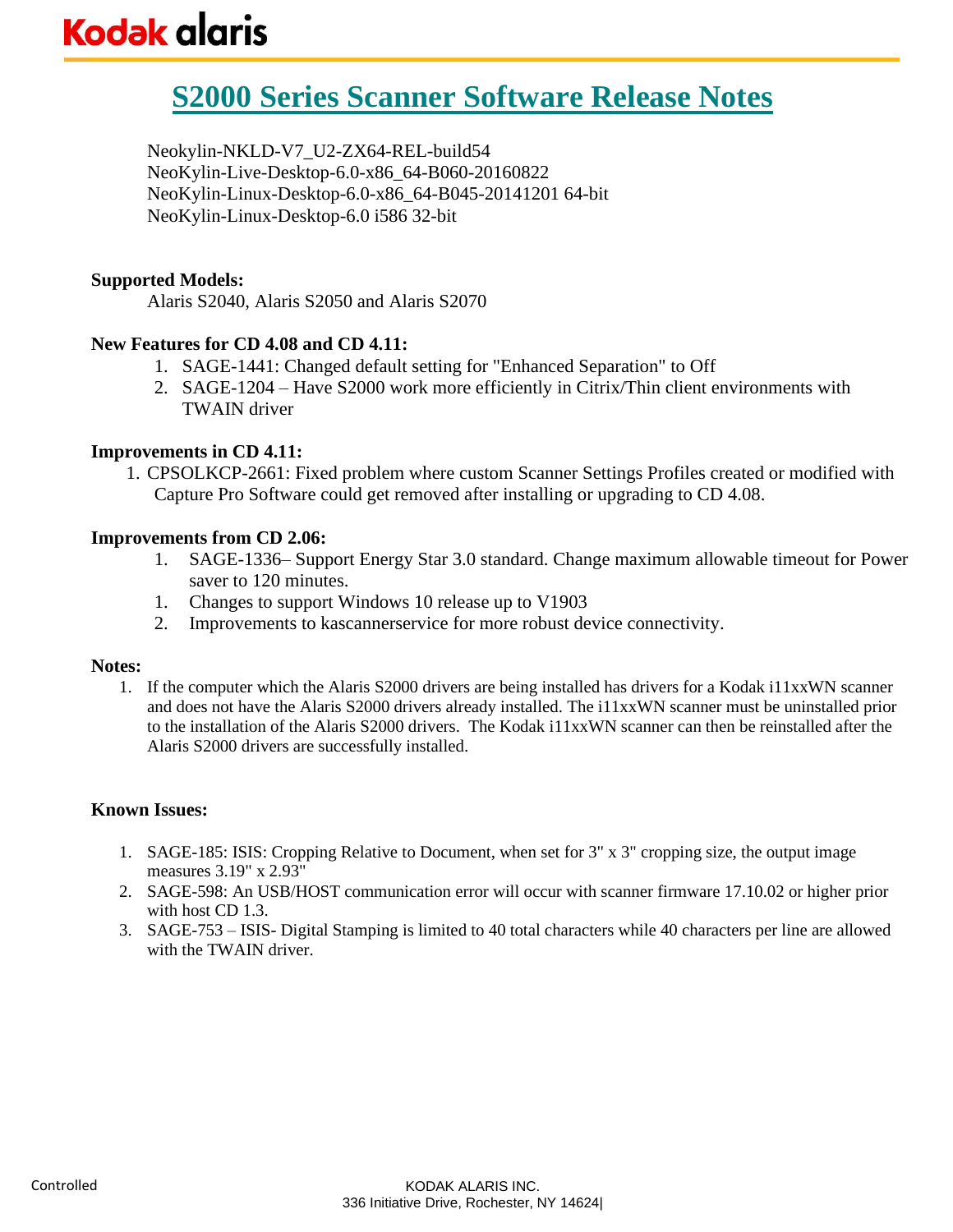# **S2000 Series Scanner Software Release Notes**

Neokylin-NKLD-V7\_U2-ZX64-REL-build54 NeoKylin-Live-Desktop-6.0-x86\_64-B060-20160822 NeoKylin-Linux-Desktop-6.0-x86\_64-B045-20141201 64-bit NeoKylin-Linux-Desktop-6.0 i586 32-bit

#### **Supported Models:**

Alaris S2040, Alaris S2050 and Alaris S2070

#### **New Features for CD 4.08 and CD 4.11:**

- 1. SAGE-1441: Changed default setting for "Enhanced Separation" to Off
- 2. SAGE-1204 Have S2000 work more efficiently in Citrix/Thin client environments with TWAIN driver

#### **Improvements in CD 4.11:**

1. CPSOLKCP-2661: Fixed problem where custom Scanner Settings Profiles created or modified with Capture Pro Software could get removed after installing or upgrading to CD 4.08.

#### **Improvements from CD 2.06:**

- 1. SAGE-1336– Support Energy Star 3.0 standard. Change maximum allowable timeout for Power saver to 120 minutes.
- 1. Changes to support Windows 10 release up to V1903
- 2. Improvements to kascannerservice for more robust device connectivity.

#### **Notes:**

1. If the computer which the Alaris S2000 drivers are being installed has drivers for a Kodak i11xxWN scanner and does not have the Alaris S2000 drivers already installed. The i11xxWN scanner must be uninstalled prior to the installation of the Alaris S2000 drivers. The Kodak i11xxWN scanner can then be reinstalled after the Alaris S2000 drivers are successfully installed.

- 1. SAGE-185: ISIS: Cropping Relative to Document, when set for 3" x 3" cropping size, the output image measures 3.19" x 2.93"
- 2. SAGE-598: An USB/HOST communication error will occur with scanner firmware 17.10.02 or higher prior with host CD 1.3.
- 3. SAGE-753 ISIS- Digital Stamping is limited to 40 total characters while 40 characters per line are allowed with the TWAIN driver.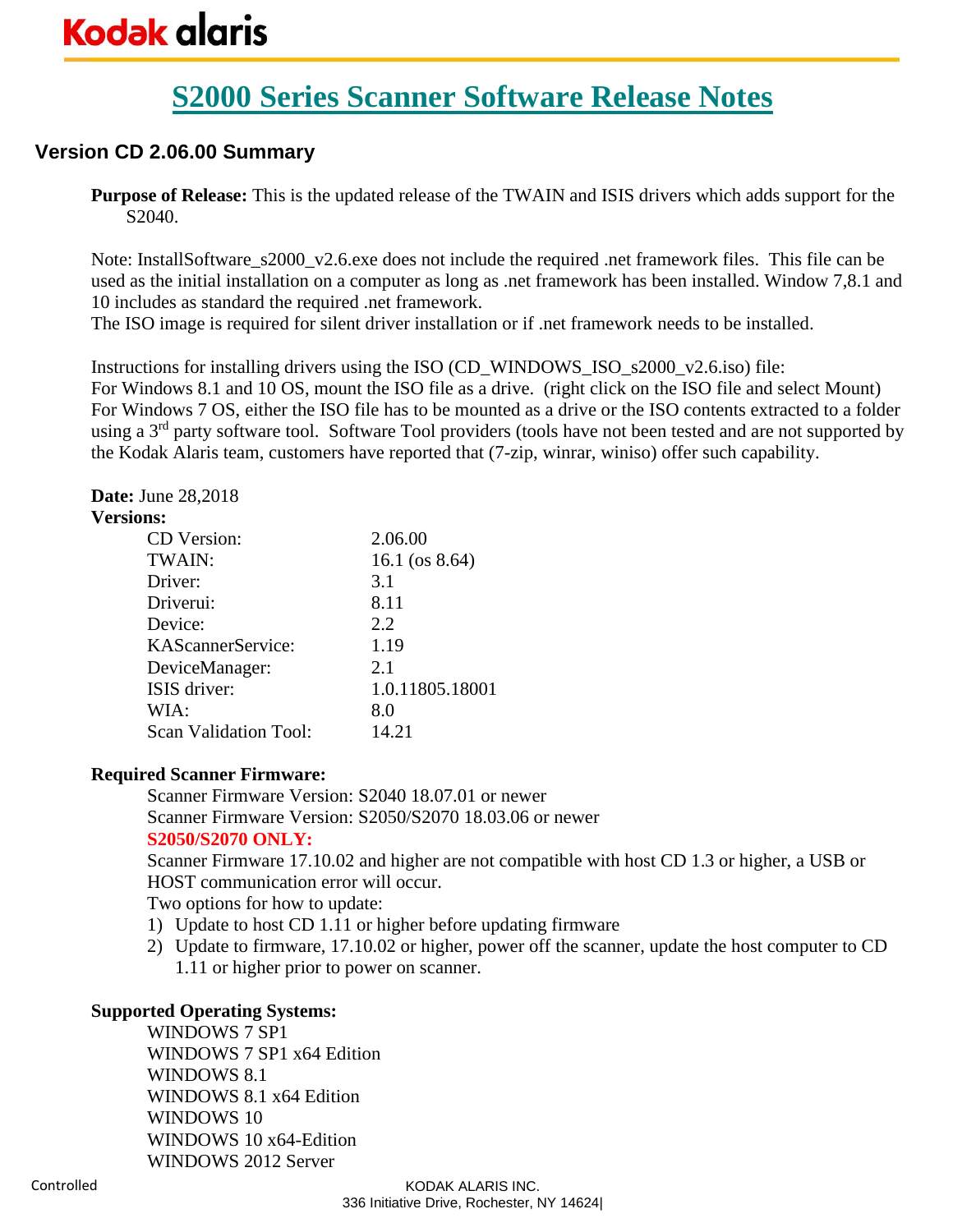# **S2000 Series Scanner Software Release Notes**

## **Version CD 2.06.00 Summary**

**Purpose of Release:** This is the updated release of the TWAIN and ISIS drivers which adds support for the S2040.

Note: InstallSoftware\_s2000\_v2.6.exe does not include the required .net framework files. This file can be used as the initial installation on a computer as long as .net framework has been installed. Window 7,8.1 and 10 includes as standard the required .net framework.

The ISO image is required for silent driver installation or if .net framework needs to be installed.

Instructions for installing drivers using the ISO (CD\_WINDOWS\_ISO\_s2000\_v2.6.iso) file: For Windows 8.1 and 10 OS, mount the ISO file as a drive. (right click on the ISO file and select Mount) For Windows 7 OS, either the ISO file has to be mounted as a drive or the ISO contents extracted to a folder using a 3<sup>rd</sup> party software tool. Software Tool providers (tools have not been tested and are not supported by the Kodak Alaris team, customers have reported that (7-zip, winrar, winiso) offer such capability.

### **Date:** June 28,2018

#### **Versions:**

| 2.06.00           |
|-------------------|
| 16.1 (os $8.64$ ) |
| 3.1               |
| 8.11              |
| 2.2               |
| 1.19              |
| 2.1               |
| 1.0.11805.18001   |
| 8.0               |
| 14.21             |
|                   |

#### **Required Scanner Firmware:**

Scanner Firmware Version: S2040 18.07.01 or newer Scanner Firmware Version: S2050/S2070 18.03.06 or newer **S2050/S2070 ONLY:**

Scanner Firmware 17.10.02 and higher are not compatible with host CD 1.3 or higher, a USB or HOST communication error will occur.

Two options for how to update:

- 1) Update to host CD 1.11 or higher before updating firmware
- 2) Update to firmware, 17.10.02 or higher, power off the scanner, update the host computer to CD 1.11 or higher prior to power on scanner.

### **Supported Operating Systems:**

WINDOWS 7 SP1 WINDOWS 7 SP1 x64 Edition WINDOWS 8.1 WINDOWS 8.1 x64 Edition WINDOWS 10 WINDOWS 10 x64-Edition WINDOWS 2012 Server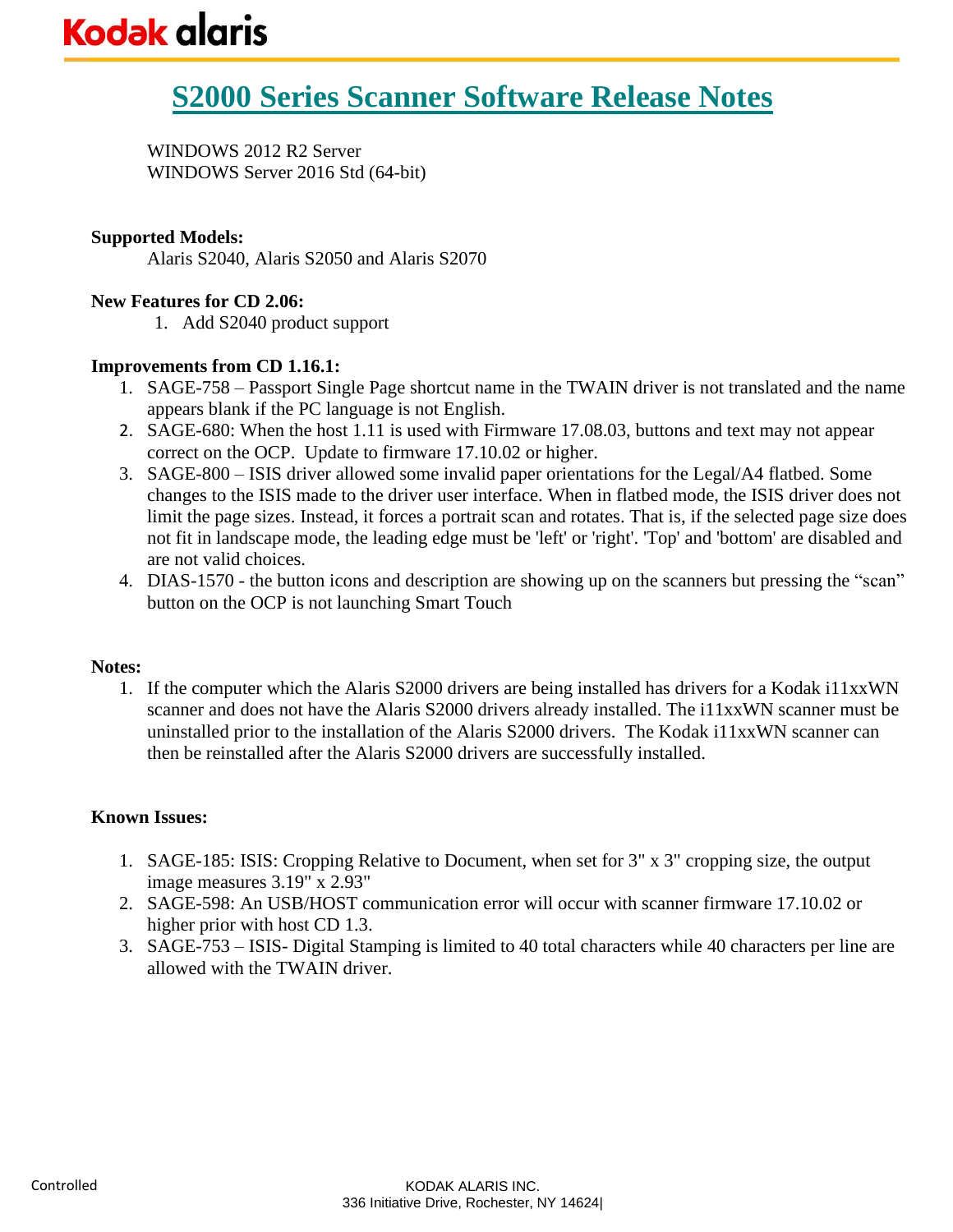WINDOWS 2012 R2 Server WINDOWS Server 2016 Std (64-bit)

#### **Supported Models:**

Alaris S2040, Alaris S2050 and Alaris S2070

#### **New Features for CD 2.06:**

1. Add S2040 product support

#### **Improvements from CD 1.16.1:**

- 1. SAGE-758 Passport Single Page shortcut name in the TWAIN driver is not translated and the name appears blank if the PC language is not English.
- 2. SAGE-680: When the host 1.11 is used with Firmware 17.08.03, buttons and text may not appear correct on the OCP. Update to firmware 17.10.02 or higher.
- 3. SAGE-800 ISIS driver allowed some invalid paper orientations for the Legal/A4 flatbed. Some changes to the ISIS made to the driver user interface. When in flatbed mode, the ISIS driver does not limit the page sizes. Instead, it forces a portrait scan and rotates. That is, if the selected page size does not fit in landscape mode, the leading edge must be 'left' or 'right'. 'Top' and 'bottom' are disabled and are not valid choices.
- 4. DIAS-1570 the button icons and description are showing up on the scanners but pressing the "scan" button on the OCP is not launching Smart Touch

#### **Notes:**

1. If the computer which the Alaris S2000 drivers are being installed has drivers for a Kodak i11xxWN scanner and does not have the Alaris S2000 drivers already installed. The i11xxWN scanner must be uninstalled prior to the installation of the Alaris S2000 drivers. The Kodak i11xxWN scanner can then be reinstalled after the Alaris S2000 drivers are successfully installed.

- 1. SAGE-185: ISIS: Cropping Relative to Document, when set for 3" x 3" cropping size, the output image measures 3.19" x 2.93"
- 2. SAGE-598: An USB/HOST communication error will occur with scanner firmware 17.10.02 or higher prior with host CD 1.3.
- 3. SAGE-753 ISIS- Digital Stamping is limited to 40 total characters while 40 characters per line are allowed with the TWAIN driver.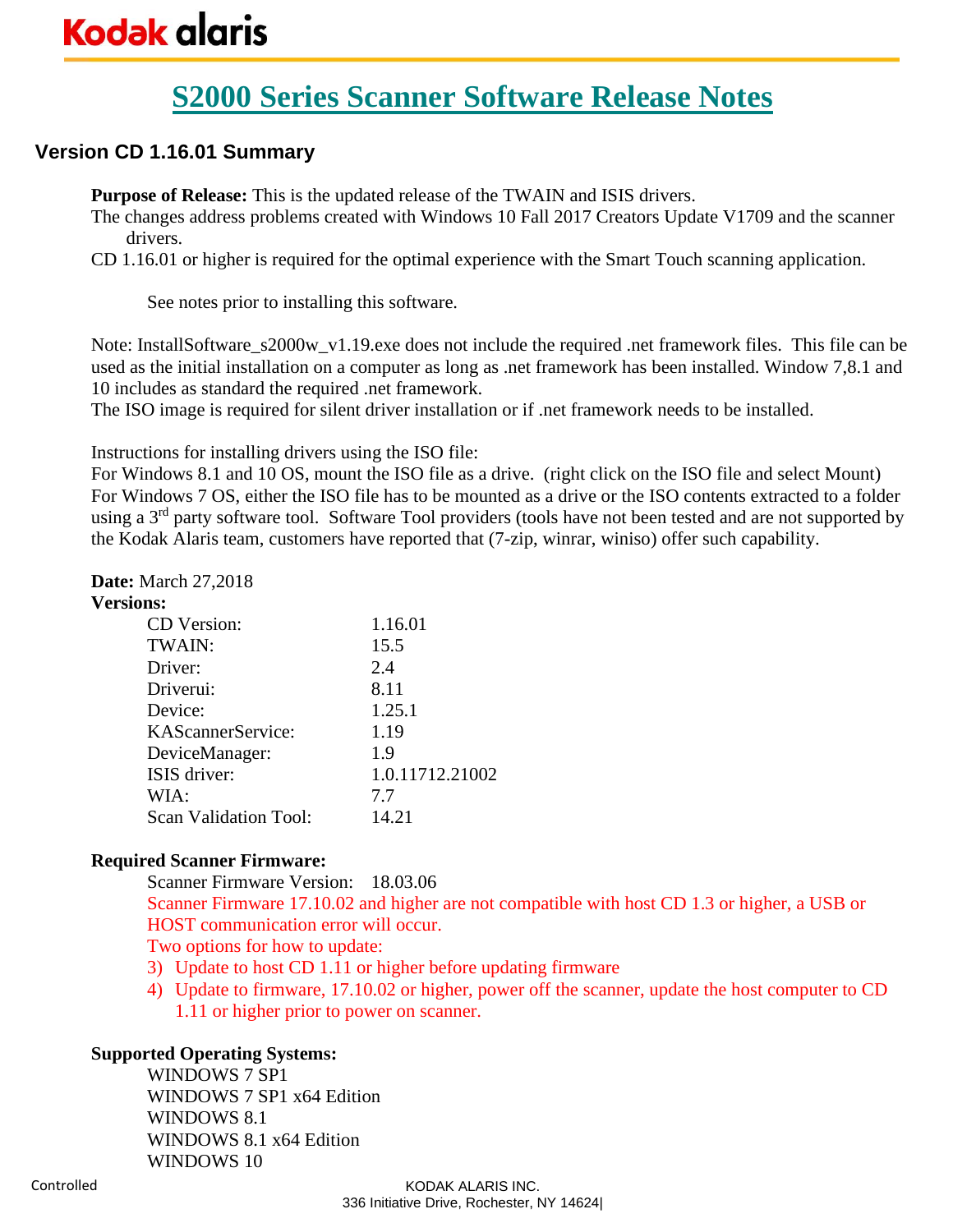# **S2000 Series Scanner Software Release Notes**

## **Version CD 1.16.01 Summary**

**Purpose of Release:** This is the updated release of the TWAIN and ISIS drivers.

The changes address problems created with Windows 10 Fall 2017 Creators Update V1709 and the scanner drivers.

CD 1.16.01 or higher is required for the optimal experience with the Smart Touch scanning application.

See notes prior to installing this software.

Note: InstallSoftware\_s2000w\_v1.19.exe does not include the required .net framework files. This file can be used as the initial installation on a computer as long as .net framework has been installed. Window 7,8.1 and 10 includes as standard the required .net framework.

The ISO image is required for silent driver installation or if .net framework needs to be installed.

Instructions for installing drivers using the ISO file:

For Windows 8.1 and 10 OS, mount the ISO file as a drive. (right click on the ISO file and select Mount) For Windows 7 OS, either the ISO file has to be mounted as a drive or the ISO contents extracted to a folder using a 3<sup>rd</sup> party software tool. Software Tool providers (tools have not been tested and are not supported by the Kodak Alaris team, customers have reported that (7-zip, winrar, winiso) offer such capability.

#### **Date:** March 27,2018

#### **Versions:**

| 1.16.01         |
|-----------------|
| 15.5            |
| 2.4             |
| 8.11            |
| 1.25.1          |
| 1.19            |
| 1.9             |
| 1.0.11712.21002 |
| 7.7             |
| 14.21           |
|                 |

#### **Required Scanner Firmware:**

Scanner Firmware Version: 18.03.06 Scanner Firmware 17.10.02 and higher are not compatible with host CD 1.3 or higher, a USB or HOST communication error will occur. Two options for how to update:

- 3) Update to host CD 1.11 or higher before updating firmware
- 4) Update to firmware, 17.10.02 or higher, power off the scanner, update the host computer to CD 1.11 or higher prior to power on scanner.

#### **Supported Operating Systems:**

WINDOWS 7 SP1 WINDOWS 7 SP1 x64 Edition WINDOWS 8.1 WINDOWS 8.1 x64 Edition WINDOWS 10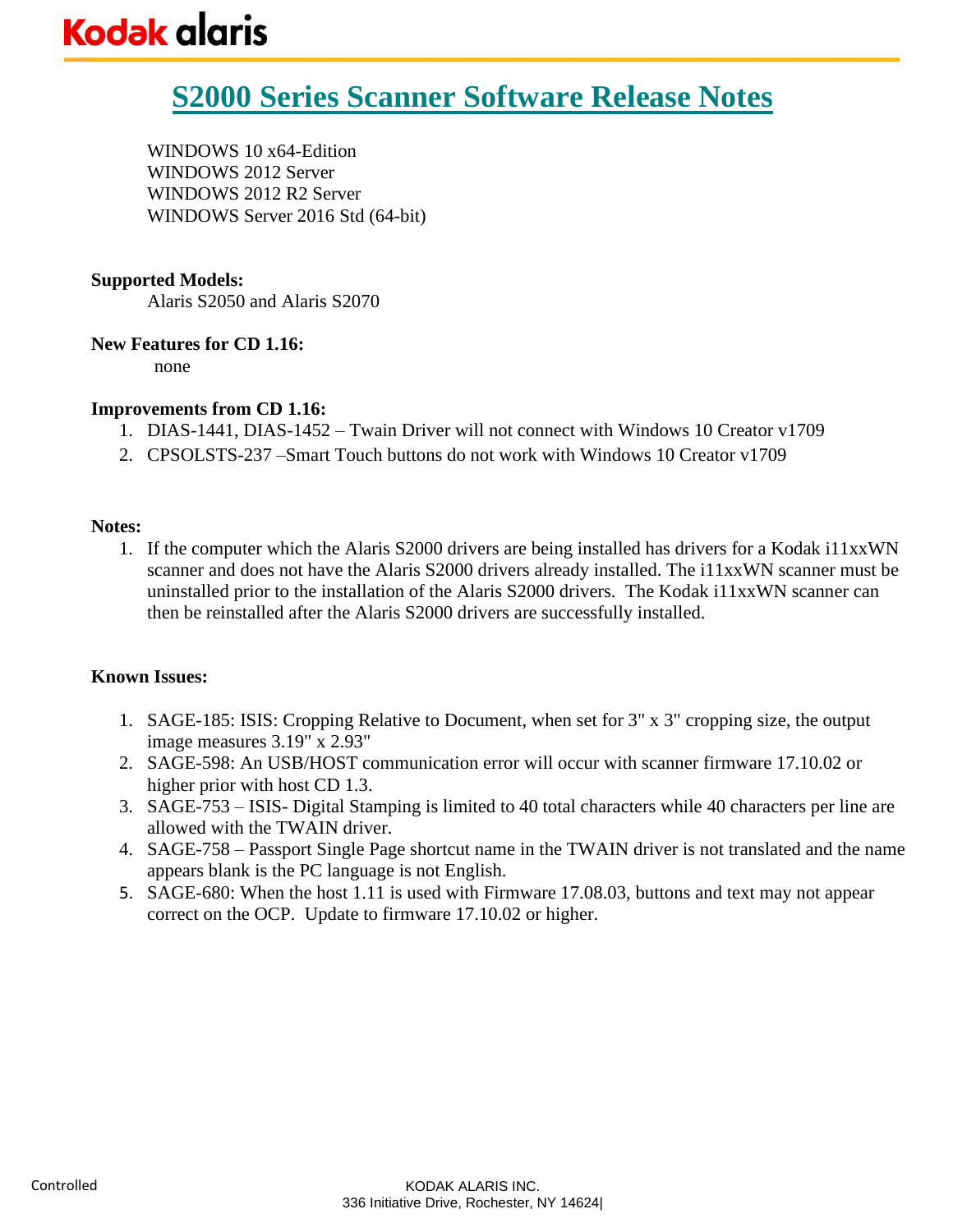# **S2000 Series Scanner Software Release Notes**

WINDOWS 10 x64-Edition WINDOWS 2012 Server WINDOWS 2012 R2 Server WINDOWS Server 2016 Std (64-bit)

#### **Supported Models:**

Alaris S2050 and Alaris S2070

#### **New Features for CD 1.16:**

none

#### **Improvements from CD 1.16:**

- 1. DIAS-1441, DIAS-1452 Twain Driver will not connect with Windows 10 Creator v1709
- 2. CPSOLSTS-237 –Smart Touch buttons do not work with Windows 10 Creator v1709

#### **Notes:**

1. If the computer which the Alaris S2000 drivers are being installed has drivers for a Kodak i11xxWN scanner and does not have the Alaris S2000 drivers already installed. The i11xxWN scanner must be uninstalled prior to the installation of the Alaris S2000 drivers. The Kodak i11xxWN scanner can then be reinstalled after the Alaris S2000 drivers are successfully installed.

- 1. SAGE-185: ISIS: Cropping Relative to Document, when set for 3" x 3" cropping size, the output image measures 3.19" x 2.93"
- 2. SAGE-598: An USB/HOST communication error will occur with scanner firmware 17.10.02 or higher prior with host CD 1.3.
- 3. SAGE-753 ISIS- Digital Stamping is limited to 40 total characters while 40 characters per line are allowed with the TWAIN driver.
- 4. SAGE-758 Passport Single Page shortcut name in the TWAIN driver is not translated and the name appears blank is the PC language is not English.
- 5. SAGE-680: When the host 1.11 is used with Firmware 17.08.03, buttons and text may not appear correct on the OCP. Update to firmware 17.10.02 or higher.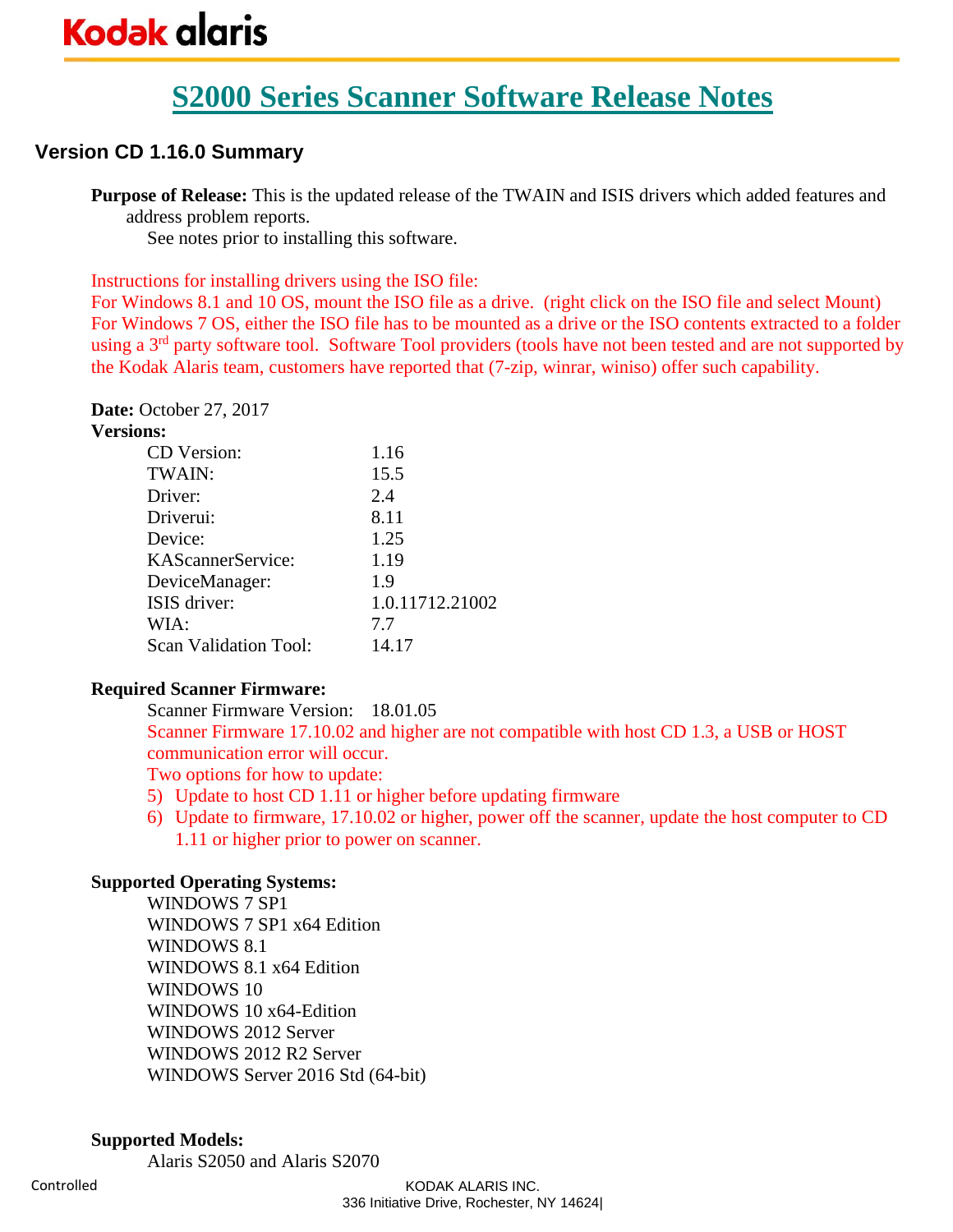# **S2000 Series Scanner Software Release Notes**

## **Version CD 1.16.0 Summary**

**Purpose of Release:** This is the updated release of the TWAIN and ISIS drivers which added features and address problem reports.

See notes prior to installing this software.

Instructions for installing drivers using the ISO file:

For Windows 8.1 and 10 OS, mount the ISO file as a drive. (right click on the ISO file and select Mount) For Windows 7 OS, either the ISO file has to be mounted as a drive or the ISO contents extracted to a folder using a 3<sup>rd</sup> party software tool. Software Tool providers (tools have not been tested and are not supported by the Kodak Alaris team, customers have reported that (7-zip, winrar, winiso) offer such capability.

**Date:** October 27, 2017 **Versions:**

| шэ.                          |                 |
|------------------------------|-----------------|
| CD Version:                  | 1.16            |
| TWAIN:                       | 15.5            |
| Driver:                      | 2.4             |
| Driverui:                    | 8.11            |
| Device:                      | 1.25            |
| KAScannerService:            | 1.19            |
| DeviceManager:               | 1.9             |
| ISIS driver:                 | 1.0.11712.21002 |
| WIA:                         | 7.7             |
| <b>Scan Validation Tool:</b> | 14.17           |
|                              |                 |

#### **Required Scanner Firmware:**

Scanner Firmware Version: 18.01.05 Scanner Firmware 17.10.02 and higher are not compatible with host CD 1.3, a USB or HOST communication error will occur. Two options for how to update:

- 5) Update to host CD 1.11 or higher before updating firmware
- 6) Update to firmware, 17.10.02 or higher, power off the scanner, update the host computer to CD 1.11 or higher prior to power on scanner.

#### **Supported Operating Systems:**

WINDOWS 7 SP1 WINDOWS 7 SP1 x64 Edition WINDOWS 8.1 WINDOWS 8.1 x64 Edition WINDOWS 10 WINDOWS 10 x64-Edition WINDOWS 2012 Server WINDOWS 2012 R2 Server WINDOWS Server 2016 Std (64-bit)

#### **Supported Models:**

Alaris S2050 and Alaris S2070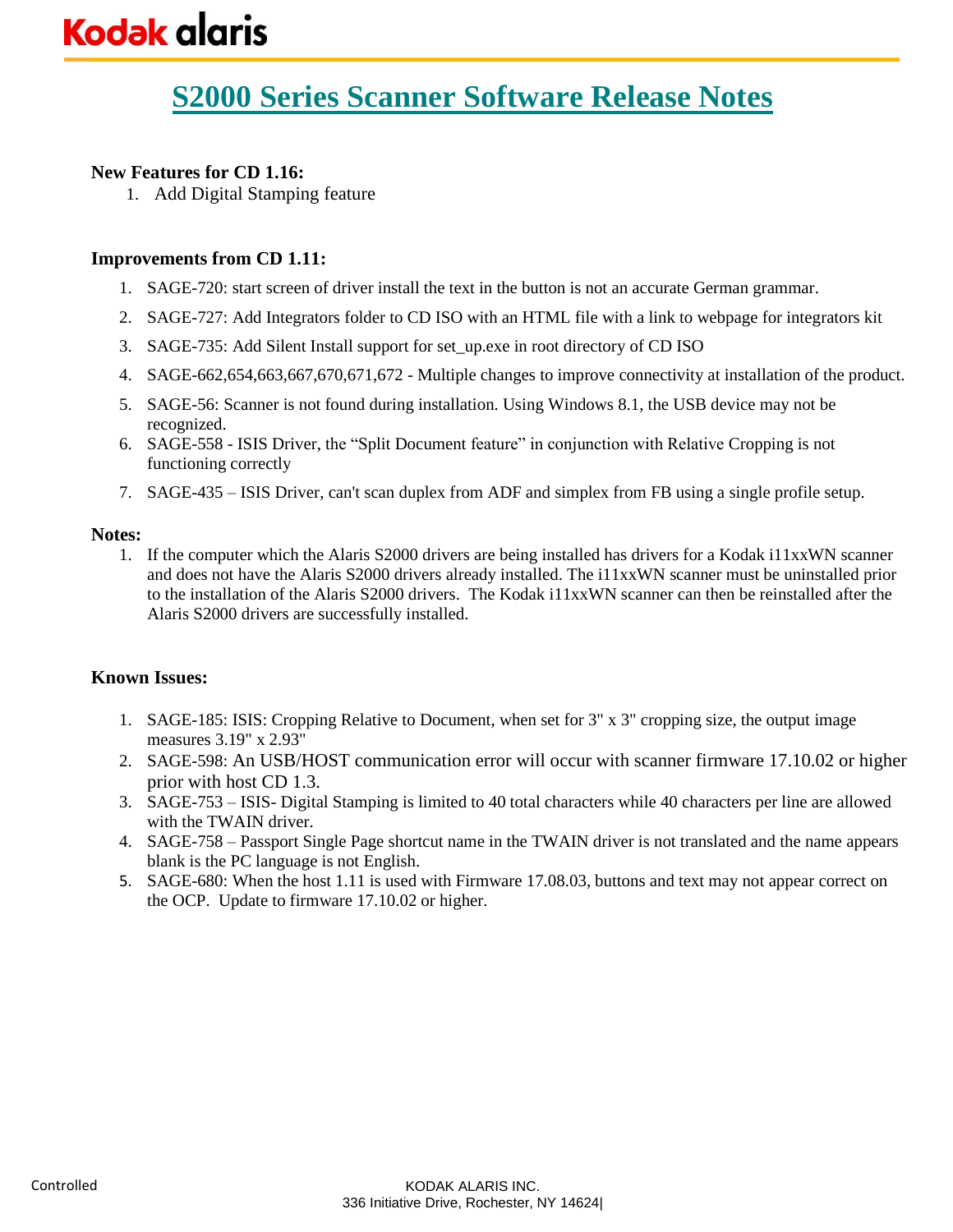### **New Features for CD 1.16:**

1. Add Digital Stamping feature

#### **Improvements from CD 1.11:**

- 1. SAGE-720: start screen of driver install the text in the button is not an accurate German grammar.
- 2. SAGE-727: Add Integrators folder to CD ISO with an HTML file with a link to webpage for integrators kit
- 3. SAGE-735: Add Silent Install support for set\_up.exe in root directory of CD ISO
- 4. SAGE-662,654,663,667,670,671,672 Multiple changes to improve connectivity at installation of the product.
- 5. SAGE-56: Scanner is not found during installation. Using Windows 8.1, the USB device may not be recognized.
- 6. SAGE-558 ISIS Driver, the "Split Document feature" in conjunction with Relative Cropping is not functioning correctly
- 7. SAGE-435 ISIS Driver, can't scan duplex from ADF and simplex from FB using a single profile setup.

#### **Notes:**

1. If the computer which the Alaris S2000 drivers are being installed has drivers for a Kodak i11xxWN scanner and does not have the Alaris S2000 drivers already installed. The i11xxWN scanner must be uninstalled prior to the installation of the Alaris S2000 drivers. The Kodak i11xxWN scanner can then be reinstalled after the Alaris S2000 drivers are successfully installed.

- 1. SAGE-185: ISIS: Cropping Relative to Document, when set for 3" x 3" cropping size, the output image measures 3.19" x 2.93"
- 2. SAGE-598: An USB/HOST communication error will occur with scanner firmware 17.10.02 or higher prior with host CD 1.3.
- 3. SAGE-753 ISIS- Digital Stamping is limited to 40 total characters while 40 characters per line are allowed with the TWAIN driver.
- 4. SAGE-758 Passport Single Page shortcut name in the TWAIN driver is not translated and the name appears blank is the PC language is not English.
- 5. SAGE-680: When the host 1.11 is used with Firmware 17.08.03, buttons and text may not appear correct on the OCP. Update to firmware 17.10.02 or higher.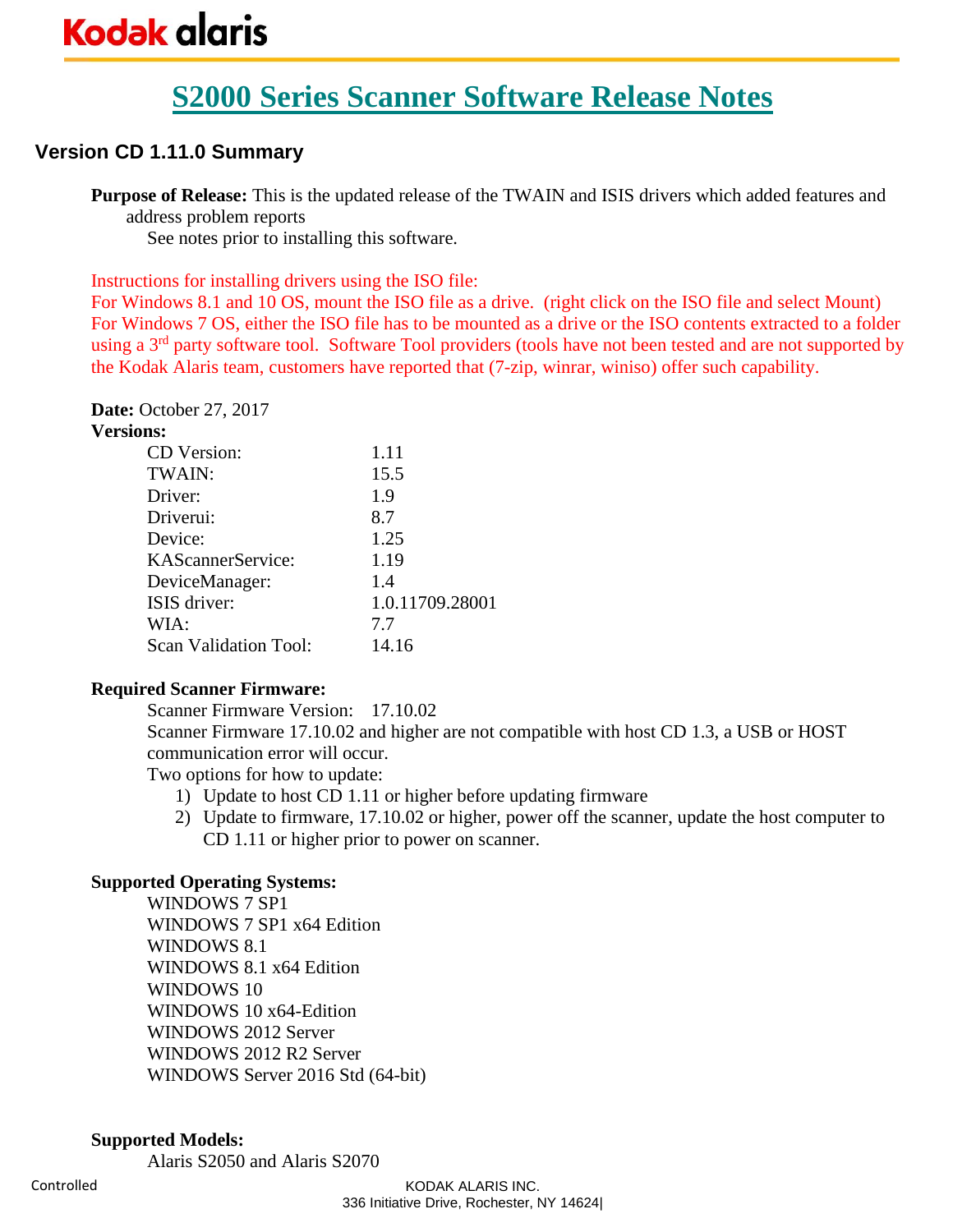# **S2000 Series Scanner Software Release Notes**

## **Version CD 1.11.0 Summary**

**Purpose of Release:** This is the updated release of the TWAIN and ISIS drivers which added features and address problem reports

See notes prior to installing this software.

Instructions for installing drivers using the ISO file:

For Windows 8.1 and 10 OS, mount the ISO file as a drive. (right click on the ISO file and select Mount) For Windows 7 OS, either the ISO file has to be mounted as a drive or the ISO contents extracted to a folder using a 3<sup>rd</sup> party software tool. Software Tool providers (tools have not been tested and are not supported by the Kodak Alaris team, customers have reported that (7-zip, winrar, winiso) offer such capability.

**Date:** October 27, 2017 **Versions:**

| шs.                          |                 |
|------------------------------|-----------------|
| <b>CD</b> Version:           | 1.11            |
| TWAIN:                       | 15.5            |
| Driver:                      | 1.9             |
| Driverui:                    | 8.7             |
| Device:                      | 1.25            |
| KAScannerService:            | 1.19            |
| DeviceManager:               | 14              |
| ISIS driver:                 | 1.0.11709.28001 |
| WIA:                         | 7.7             |
| <b>Scan Validation Tool:</b> | 14.16           |
|                              |                 |

#### **Required Scanner Firmware:**

Scanner Firmware Version: 17.10.02

Scanner Firmware 17.10.02 and higher are not compatible with host CD 1.3, a USB or HOST communication error will occur.

Two options for how to update:

- 1) Update to host CD 1.11 or higher before updating firmware
- 2) Update to firmware, 17.10.02 or higher, power off the scanner, update the host computer to CD 1.11 or higher prior to power on scanner.

#### **Supported Operating Systems:**

WINDOWS 7 SP1 WINDOWS 7 SP1 x64 Edition WINDOWS 8.1 WINDOWS 8.1 x64 Edition WINDOWS 10 WINDOWS 10 x64-Edition WINDOWS 2012 Server WINDOWS 2012 R2 Server WINDOWS Server 2016 Std (64-bit)

#### **Supported Models:**

Alaris S2050 and Alaris S2070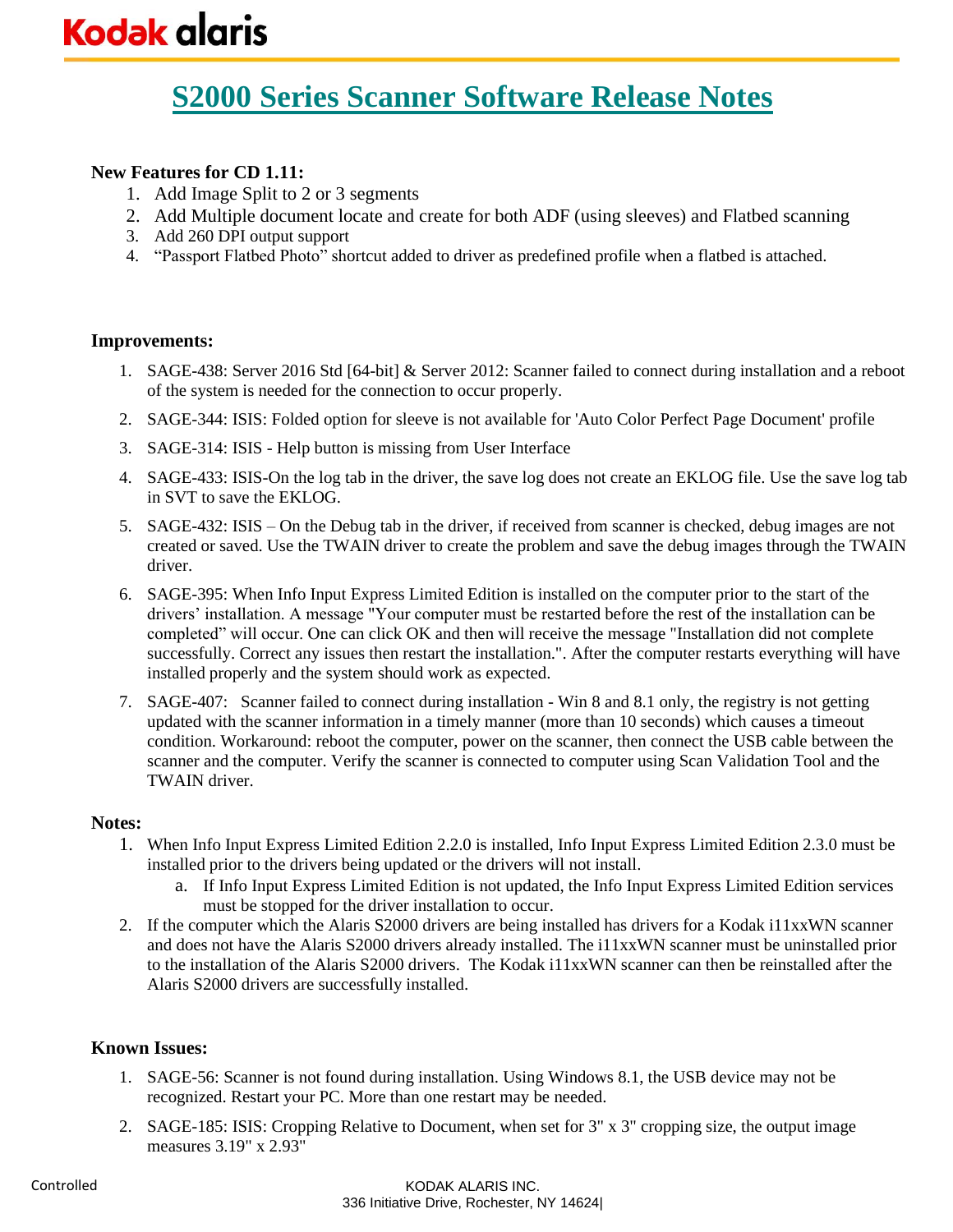### **New Features for CD 1.11:**

- 1. Add Image Split to 2 or 3 segments
- 2. Add Multiple document locate and create for both ADF (using sleeves) and Flatbed scanning
- 3. Add 260 DPI output support
- 4. "Passport Flatbed Photo" shortcut added to driver as predefined profile when a flatbed is attached.

#### **Improvements:**

- 1. SAGE-438: Server 2016 Std [64-bit] & Server 2012: Scanner failed to connect during installation and a reboot of the system is needed for the connection to occur properly.
- 2. SAGE-344: ISIS: Folded option for sleeve is not available for 'Auto Color Perfect Page Document' profile
- 3. SAGE-314: ISIS Help button is missing from User Interface
- 4. SAGE-433: ISIS-On the log tab in the driver, the save log does not create an EKLOG file. Use the save log tab in SVT to save the EKLOG.
- 5. SAGE-432: ISIS On the Debug tab in the driver, if received from scanner is checked, debug images are not created or saved. Use the TWAIN driver to create the problem and save the debug images through the TWAIN driver.
- 6. SAGE-395: When Info Input Express Limited Edition is installed on the computer prior to the start of the drivers' installation. A message "Your computer must be restarted before the rest of the installation can be completed" will occur. One can click OK and then will receive the message "Installation did not complete successfully. Correct any issues then restart the installation.". After the computer restarts everything will have installed properly and the system should work as expected.
- 7. SAGE-407: Scanner failed to connect during installation Win 8 and 8.1 only, the registry is not getting updated with the scanner information in a timely manner (more than 10 seconds) which causes a timeout condition. Workaround: reboot the computer, power on the scanner, then connect the USB cable between the scanner and the computer. Verify the scanner is connected to computer using Scan Validation Tool and the TWAIN driver.

#### **Notes:**

- 1. When Info Input Express Limited Edition 2.2.0 is installed, Info Input Express Limited Edition 2.3.0 must be installed prior to the drivers being updated or the drivers will not install.
	- a. If Info Input Express Limited Edition is not updated, the Info Input Express Limited Edition services must be stopped for the driver installation to occur.
- 2. If the computer which the Alaris S2000 drivers are being installed has drivers for a Kodak i11xxWN scanner and does not have the Alaris S2000 drivers already installed. The i11xxWN scanner must be uninstalled prior to the installation of the Alaris S2000 drivers. The Kodak i11xxWN scanner can then be reinstalled after the Alaris S2000 drivers are successfully installed.

- 1. SAGE-56: Scanner is not found during installation. Using Windows 8.1, the USB device may not be recognized. Restart your PC. More than one restart may be needed.
- 2. SAGE-185: ISIS: Cropping Relative to Document, when set for 3" x 3" cropping size, the output image measures 3.19" x 2.93"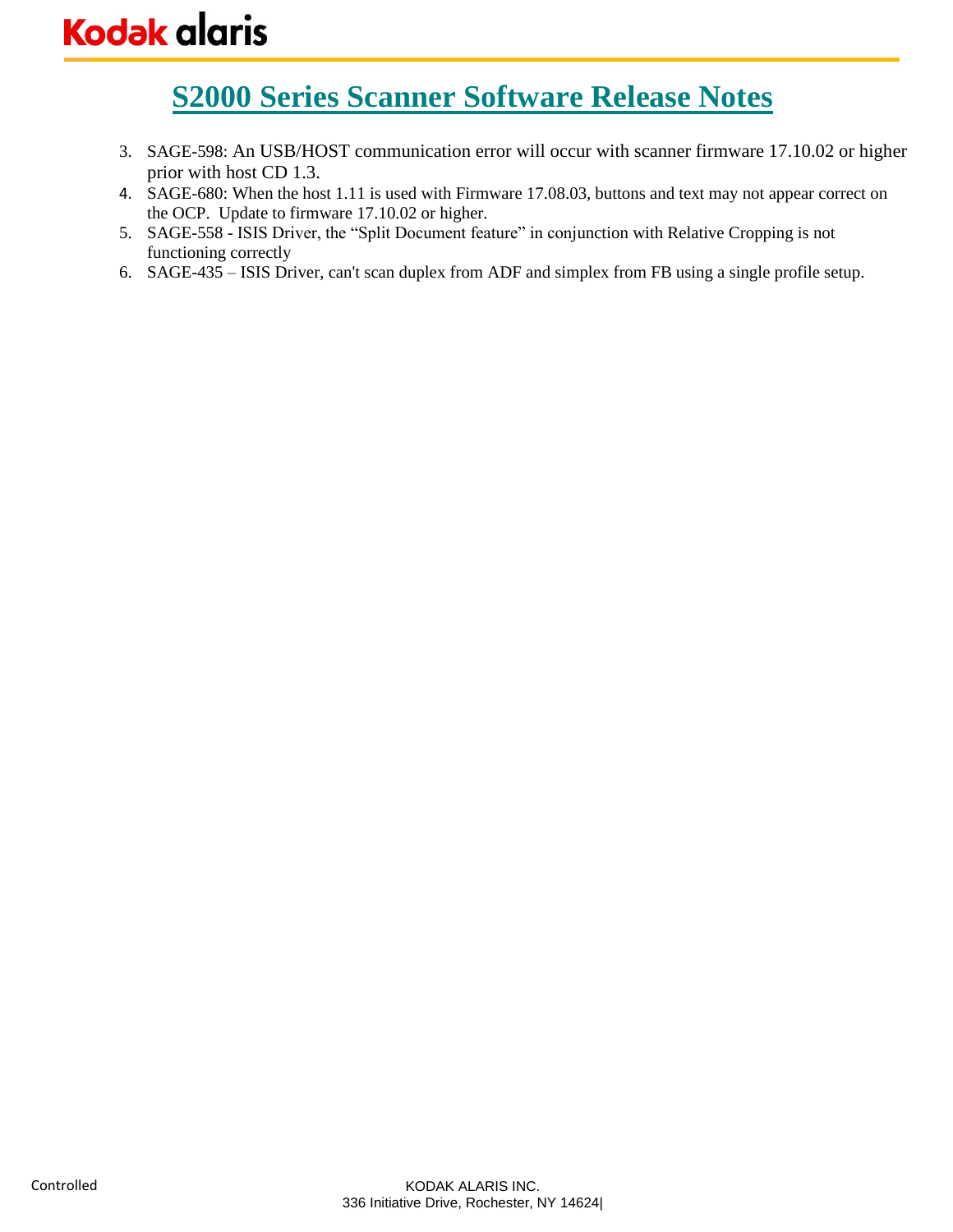**S2000 Series Scanner Software Release Notes**

- 3. SAGE-598: An USB/HOST communication error will occur with scanner firmware 17.10.02 or higher prior with host CD 1.3.
- 4. SAGE-680: When the host 1.11 is used with Firmware 17.08.03, buttons and text may not appear correct on the OCP. Update to firmware 17.10.02 or higher.
- 5. SAGE-558 ISIS Driver, the "Split Document feature" in conjunction with Relative Cropping is not functioning correctly
- 6. SAGE-435 ISIS Driver, can't scan duplex from ADF and simplex from FB using a single profile setup.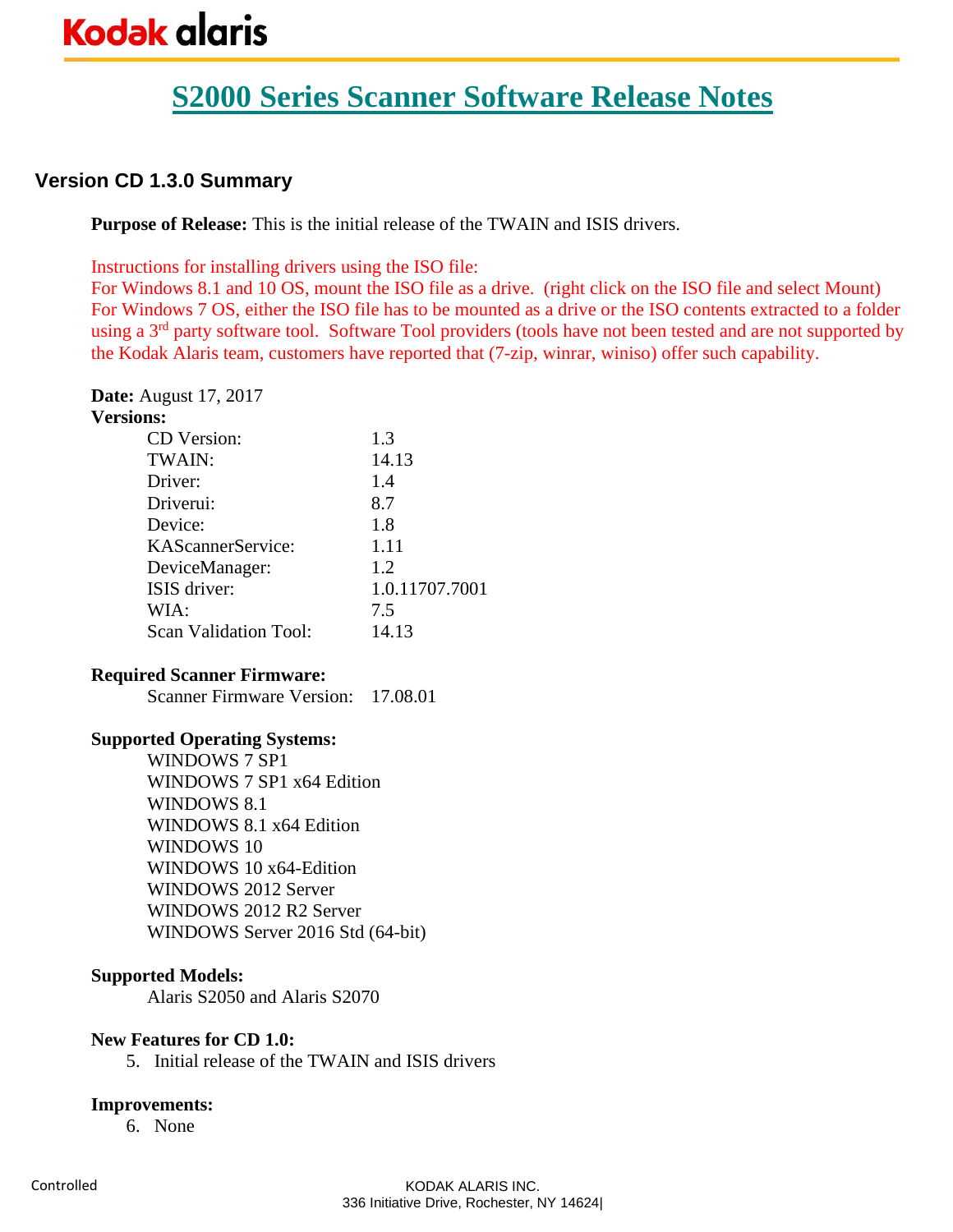# **S2000 Series Scanner Software Release Notes**

## **Version CD 1.3.0 Summary**

**Purpose of Release:** This is the initial release of the TWAIN and ISIS drivers.

Instructions for installing drivers using the ISO file:

For Windows 8.1 and 10 OS, mount the ISO file as a drive. (right click on the ISO file and select Mount) For Windows 7 OS, either the ISO file has to be mounted as a drive or the ISO contents extracted to a folder using a 3<sup>rd</sup> party software tool. Software Tool providers (tools have not been tested and are not supported by the Kodak Alaris team, customers have reported that (7-zip, winrar, winiso) offer such capability.

**Date:** August 17, 2017

| <b>Versions:</b>      |                |
|-----------------------|----------------|
| <b>CD</b> Version:    | 1.3            |
| TWAIN:                | 14.13          |
| Driver:               | 1.4            |
| Driverui:             | 8.7            |
| Device:               | 1.8            |
| KAScannerService:     | 1.11           |
| DeviceManager:        | 1.2            |
| ISIS driver:          | 1.0.11707.7001 |
| WIA:                  | 7.5            |
| Scan Validation Tool: | 14.13          |

#### **Required Scanner Firmware:**

Scanner Firmware Version: 17.08.01

#### **Supported Operating Systems:**

WINDOWS 7 SP1 WINDOWS 7 SP1 x64 Edition WINDOWS 8.1 WINDOWS 8.1 x64 Edition WINDOWS 10 WINDOWS 10 x64-Edition WINDOWS 2012 Server WINDOWS 2012 R2 Server WINDOWS Server 2016 Std (64-bit)

#### **Supported Models:**

Alaris S2050 and Alaris S2070

#### **New Features for CD 1.0:**

5. Initial release of the TWAIN and ISIS drivers

#### **Improvements:**

6. None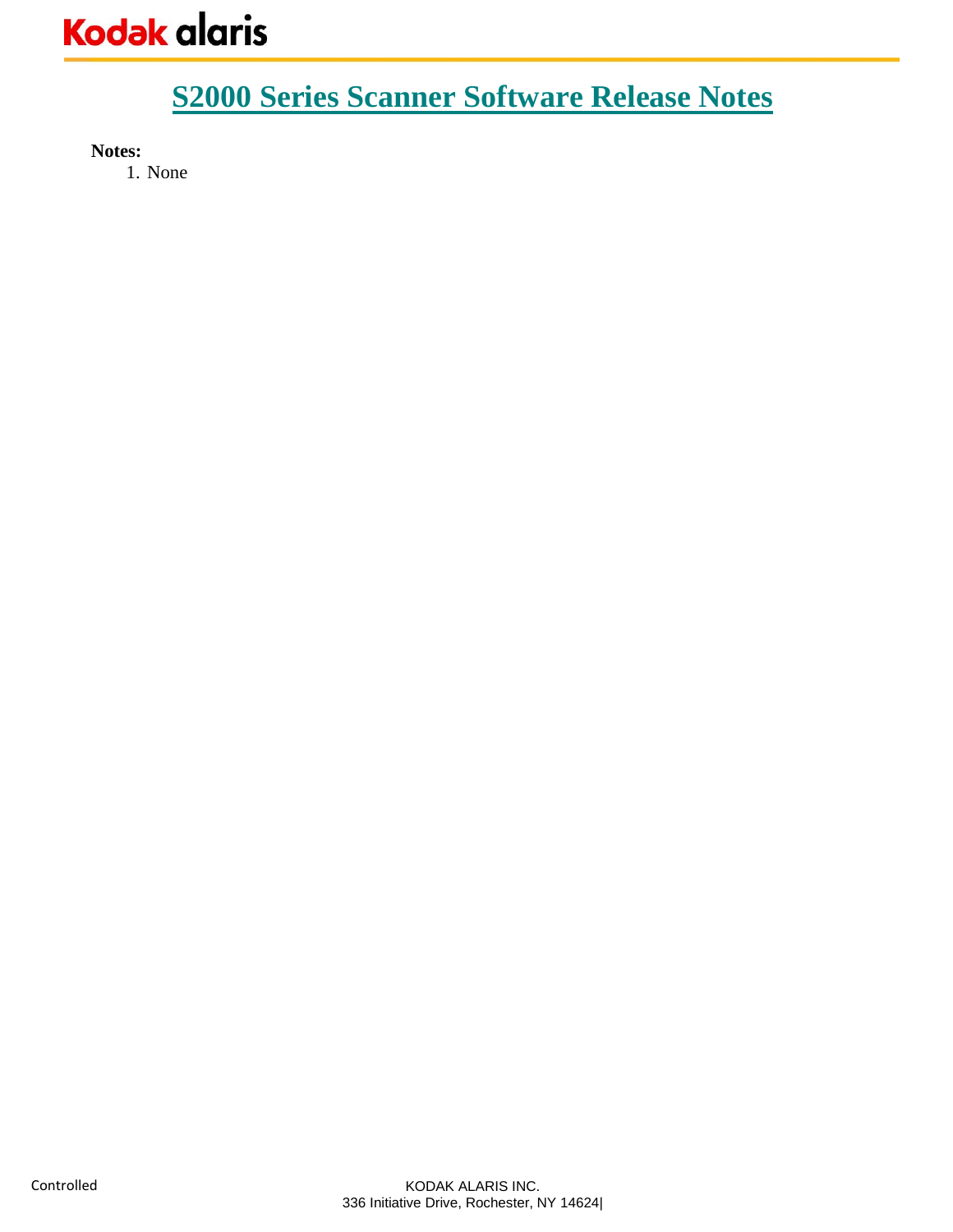**Notes:** 

1. None